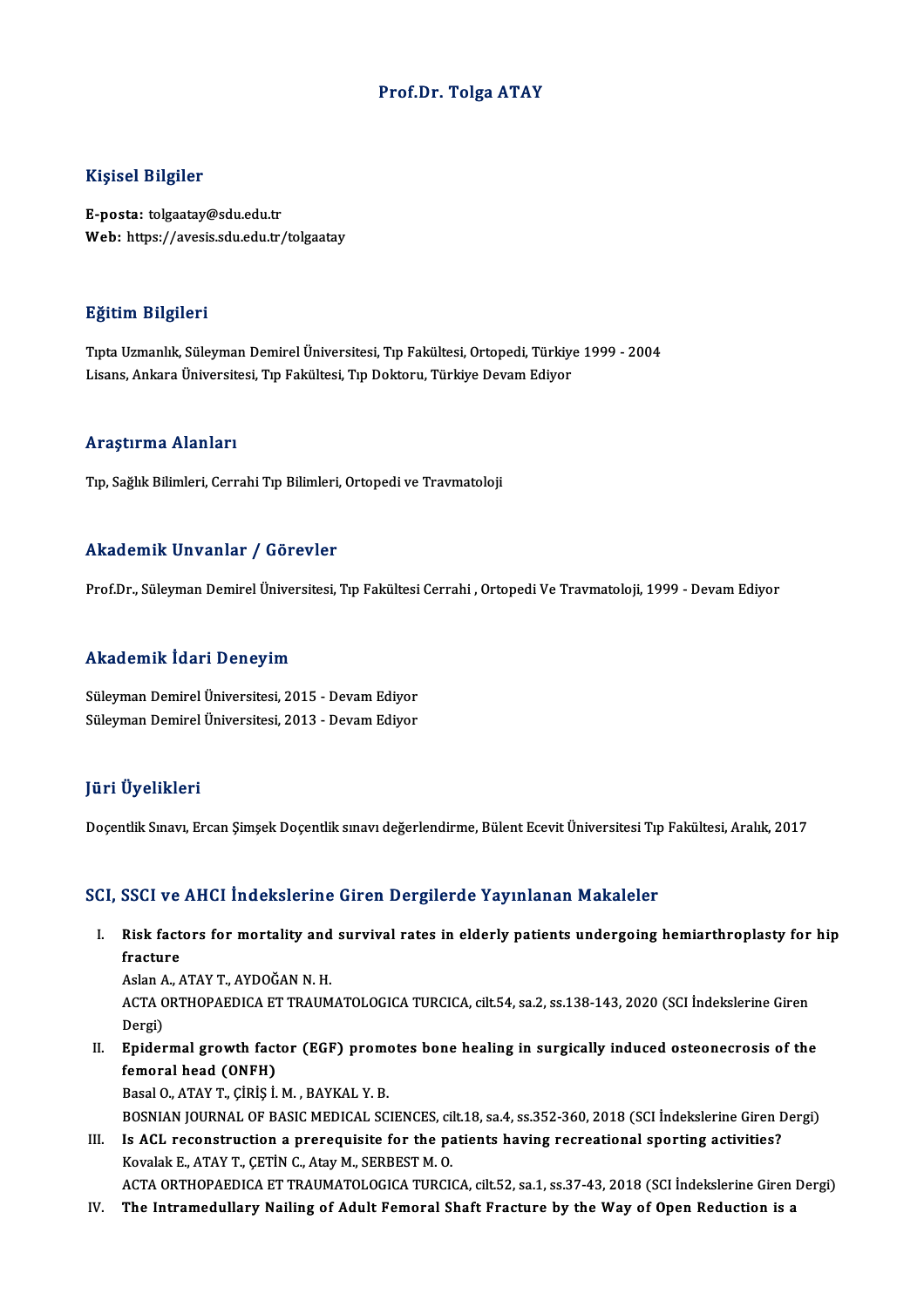### Prof.Dr. Tolga ATAY

### Kişisel Bilgiler

E-posta: tolgaatay@sdu.edu.tr Web: https://avesis.sdu.edu.tr/tolgaatay

### Eğitim Bilgileri

**Eğitim Bilgileri**<br>Tıpta Uzmanlık, Süleyman Demirel Üniversitesi, Tıp Fakültesi, Ortopedi, Türkiye 1999 - 2004<br>Lisans, Ankara Üniversitesi, Tın Fakültesi, Tın Dekteru, Türkiye Devam Ediyer Lisaans, Langaron<br>Tıpta Uzmanlık, Süleyman Demirel Üniversitesi, Tıp Fakültesi, Ortopedi, Türkiye<br>Lisans, Ankara Üniversitesi, Tıp Fakültesi, Tıp Doktoru, Türkiye Devam Ediyor Lisans, Ankara Üniversitesi, Tıp Fakültesi, Tıp Doktoru, Türkiye Devam Ediyor<br>Araştırma Alanları

Tıp, Sağlık Bilimleri, Cerrahi Tıp Bilimleri, Ortopedi ve Travmatoloji

### Akademik Unvanlar / Görevler

Prof.Dr., Süleyman Demirel Üniversitesi, Tıp Fakültesi Cerrahi , Ortopedi Ve Travmatoloji, 1999 - Devam Ediyor

### Akademik İdari Deneyim

Süleyman Demirel Üniversitesi, 2015 - Devam Ediyor Süleyman Demirel Üniversitesi, 2013 - Devam Ediyor

### JüriÜyelikleri

Doçentlik Sınavı, Ercan Şimşek Doçentlik sınavı değerlendirme, Bülent Ecevit Üniversitesi Tıp Fakültesi, Aralık, 2017

### SCI, SSCI ve AHCI İndekslerine Giren Dergilerde Yayınlanan Makaleler

I. Risk factors for mortality and survival rates in elderly patients undergoing hemiarthroplasty for hip Risk fact<br>fracture<br>Aslan A Risk factors for mortality and<br>fracture<br>Aslan A., ATAY T., AYDOĞAN N. H.<br>ACTA OPTHORAEDICA ET TRAIM

fracture<br>Aslan A., ATAY T., AYDOĞAN N. H.<br>ACTA ORTHOPAEDICA ET TRAUMATOLOGICA TURCICA, cilt.54, sa.2, ss.138-143, 2020 (SCI İndekslerine Giren Aslan<br>ACTA C<br>Dergi)<br>Enider ACTA ORTHOPAEDICA ET TRAUMATOLOGICA TURCICA, cilt.54, sa.2, ss.138-143, 2020 (SCI İndekslerine Giren<br>Dergi)<br>II. Epidermal growth factor (EGF) promotes bone healing in surgically induced osteonecrosis of the<br>formaral baad (

Dergi)<br>Epidermal growth fact<br>femoral head (ONFH)<br>PesslO ATAVT Cipis i Epidermal growth factor (EGF) prome<br>femoral head (ONFH)<br>Basal O., ATAY T., ÇİRİŞ İ.M. , BAYKAL Y. B.<br>BOSNIAN JOUPNAL OF PASIC MEDICAL SC femoral head (ONFH)<br>Basal O., ATAY T., ÇİRİŞ İ. M. , BAYKAL Y. B.<br>BOSNIAN JOURNAL OF BASIC MEDICAL SCIENCES, cilt.18, sa.4, ss.352-360, 2018 (SCI İndekslerine Giren Dergi)

Basal O., ATAY T., ÇİRİŞ İ. M. , BAYKAL Y. B.<br>BOSNIAN JOURNAL OF BASIC MEDICAL SCIENCES, cilt.18, sa.4, ss.352-360, 2018 (SCI İndekslerine Giren I.<br>III. Is ACL reconstruction a prerequisite for the patients having recreati BOSNIAN JOURNAL OF BASIC MEDICAL SCIENCES, cil<br>Is ACL reconstruction a prerequisite for the pa<br>Kovalak E., ATAY T., ÇETİN C., Atay M., SERBEST M. O.<br>ACTA OPTHORAEDICA ET TRAUMATOLOGICA TURGI Kovalak E., ATAY T., ÇETİN C., Atay M., SERBEST M. O.<br>ACTA ORTHOPAEDICA ET TRAUMATOLOGICA TURCICA, cilt.52, sa.1, ss.37-43, 2018 (SCI İndekslerine Giren Dergi)

IV. The Intramedullary Nailing of Adult Femoral Shaft Fracture by the Way of Open Reduction is a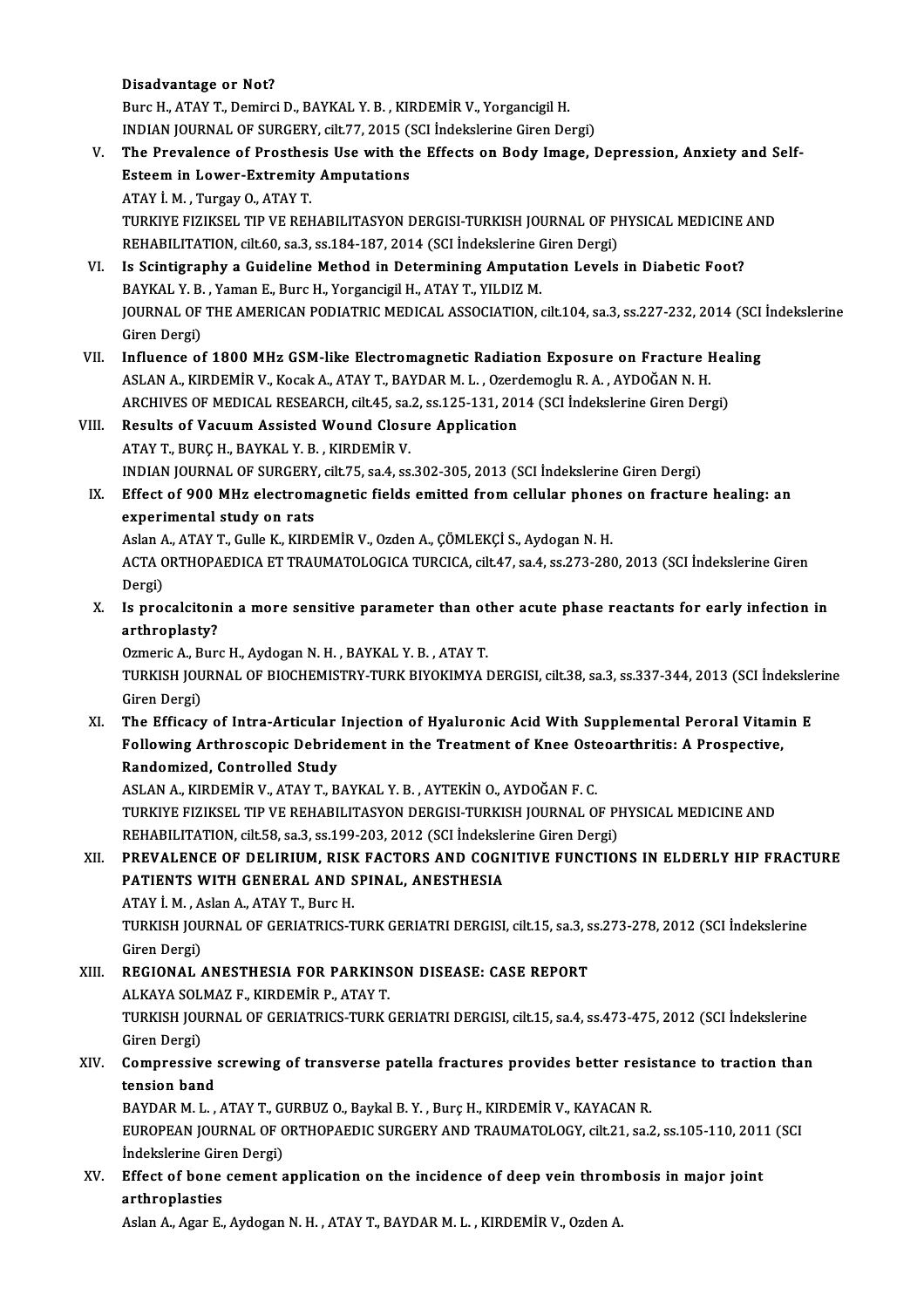### Disadvantage or Not?

Burc H., ATAY T., Demirci D., BAYKAL Y. B., KIRDEMİR V., Yorgancigil H. Disadvantage or Not?<br>Burc H., ATAY T., Demirci D., BAYKAL Y. B. , KIRDEMİR V., Yorgancigil H.<br>INDIAN JOURNAL OF SURGERY, cilt.77, 2015 (SCI İndekslerine Giren Dergi)<br>The Brevylange of Brasthesis Hee with the Effects on Bod

## Burc H., ATAY T., Demirci D., BAYKAL Y. B. , KIRDEMİR V., Yorgancigil H.<br>INDIAN JOURNAL OF SURGERY, cilt.77, 2015 (SCI İndekslerine Giren Dergi)<br>V. The Prevalence of Prosthesis Use with the Effects on Body Image, Depre INDIAN JOURNAL OF SURGERY, cilt.77, 2015 (<br>The Prevalence of Prosthesis Use with the<br>Esteem in Lower-Extremity Amputations The Prevalence of Prosthes<br>Esteem in Lower-Extremity<br>ATAY İ.M., Turgay O., ATAY T.<br>TURKIVE EIZIKSEL TIR VE REL Esteem in Lower-Extremity Amputations<br>ATAY İ. M. , Turgay O., ATAY T.<br>TURKIYE FIZIKSEL TIP VE REHABILITASYON DERGISI-TURKISH JOURNAL OF PHYSICAL MEDICINE AND<br>REHABILITATION silt 60 sə 3 sə 194 197 2014 (SCLİndekslərinə Gir ATAY İ. M. , Turgay O., ATAY T.<br>TURKIYE FIZIKSEL TIP VE REHABILITASYON DERGISI-TURKISH JOURNAL OF PI<br>REHABILITATION, cilt.60, sa.3, ss.184-187, 2014 (SCI İndekslerine Giren Dergi)<br>Is Scintigraphy a Guideline Method in Dete

## REHABILITATION, cilt.60, sa.3, ss.184-187, 2014 (SCI Indekslerine Giren Dergi)<br>VI. Is Scintigraphy a Guideline Method in Determining Amputation Levels in Diabetic Foot? REHABILITATION, cilt.60, sa.3, ss.184-187, 2014 (SCI İndekslerine C<br>Is Scintigraphy a Guideline Method in Determining Amputat<br>BAYKAL Y. B., Yaman E., Burc H., Yorgancigil H., ATAY T., YILDIZ M.<br>JOUPMAL OF THE AMERICAN PODI JOURNAL OF THE AMERICAN PODIATRIC MEDICAL ASSOCIATION, cilt.104, sa.3, ss.227-232, 2014 (SCI İndekslerine<br>Giren Dergi) BAYKAL Y. B.<br>JOURNAL OF<br>Giren Dergi)<br>Influence of

- VII. Influence of 1800 MHz GSM-like Electromagnetic Radiation Exposure on Fracture Healing Giren Dergi)<br>Influence of 1800 MHz GSM-like Electromagnetic Radiation Exposure on Fracture I<br>ASLAN A., KIRDEMİR V., Kocak A., ATAY T., BAYDAR M. L. , Ozerdemoglu R. A. , AYDOĞAN N. H.<br>ARCHIVES OF MEDICAL PESEARCH gilt 45, Influence of 1800 MHz GSM-like Electromagnetic Radiation Exposure on Fracture Hea<br>ASLAN A., KIRDEMİR V., Kocak A., ATAY T., BAYDAR M. L. , Ozerdemoglu R. A. , AYDOĞAN N. H.<br>ARCHIVES OF MEDICAL RESEARCH, cilt.45, sa.2, ss.1 ASLAN A., KIRDEMİR V., Kocak A., ATAY T., BAYDAR M. L., Ozero<br>ARCHIVES OF MEDICAL RESEARCH, cilt.45, sa.2, ss.125-131, 201<br>VIII. Results of Vacuum Assisted Wound Closure Application<br>ATAY T. BURC H. BAYKAL Y. B., KIRDEMİR V
- ARCHIVES OF MEDICAL RESEARCH, cilt.45, sa.2, ss.125-131, 2014 (SCI İndekslerine Giren Dergi)<br>Results of Vacuum Assisted Wound Closure Application<br>ATAY T., BURÇ H., BAYKAL Y. B. , KIRDEMİR V. INDIANJOURNALOF SURGERY, cilt.75, sa.4, ss.302-305,2013 (SCI İndekslerineGirenDergi) ATAY T., BURÇ H., BAYKAL Y. B. , KIRDEMİR V.<br>INDIAN JOURNAL OF SURGERY, cilt.75, sa.4, ss.302-305, 2013 (SCI İndekslerine Giren Dergi)<br>IX. Effect of 900 MHz electromagnetic fields emitted from cellular phones on fracture h
- INDIAN JOURNAL OF SURGERY<br>Effect of 900 MHz electrom<br>experimental study on rats Effect of 900 MHz electromagnetic fields emitted from cellular phone<br>experimental study on rats<br>Aslan A., ATAY T., Gulle K., KIRDEMİR V., Ozden A., ÇÖMLEKÇİ S., Aydogan N. H.<br>ACTA OPTHOPAEDICA ET TRAJIMATOLOCICA TURCICA. c

experimental study on rats<br>Aslan A., ATAY T., Gulle K., KIRDEMİR V., Ozden A., ÇÖMLEKÇİ S., Aydogan N. H.<br>ACTA ORTHOPAEDICA ET TRAUMATOLOGICA TURCICA, cilt.47, sa.4, ss.273-280, 2013 (SCI İndekslerine Giren<br>Dergi) Aslan A., ATAY T., Gulle K., KIRDEMİR V., Ozden A., ÇÖMLEKÇİ S., Aydogan N. H. ACTA ORTHOPAEDICA ET TRAUMATOLOGICA TURCICA, cilt.47, sa.4, ss.273-280, 2013 (SCI Indekslerine Giren<br>Dergi)<br>X. Is procalcitonin a more sensitive parameter than other acute phase reactants for early infection in<br>arthroplast

Dergi)<br>Is procalciton<br>arthroplasty?<br><sup>Ormoric A</sup> <sup>Bure</sup> Is procalcitonin a more sensitive parameter than ot<br>arthroplasty?<br>Ozmeric A., Burc H., Aydogan N. H. , BAYKAL Y. B. , ATAY T.<br>TURKISH JOURNAL OF RIOCHEMISTRY TURK RIVOKIMYA I

arthroplasty?<br>Ozmeric A., Burc H., Aydogan N. H. , BAYKAL Y. B. , ATAY T.<br>TURKISH JOURNAL OF BIOCHEMISTRY-TURK BIYOKIMYA DERGISI, cilt.38, sa.3, ss.337-344, 2013 (SCI İndekslerine<br>Giren Dergi) Ozmeric A., Burc H., Aydogan N. H., BAYKAL Y. B., ATAY T. TURKISH JOURNAL OF BIOCHEMISTRY-TURK BIYOKIMYA DERGISI, cilt.38, sa.3, ss.337-344, 2013 (SCI İndeksle:<br>Giren Dergi)<br>XI. The Efficacy of Intra-Articular Injection of Hyaluronic Acid With Supplemental Peroral Vitamin E<br>Follo

Giren Dergi)<br>The Efficacy of Intra-Articular Injection of Hyaluronic Acid With Supplemental Peroral Vitam<br>Following Arthroscopic Debridement in the Treatment of Knee Osteoarthritis: A Prospective,<br>Pendemiged, Centrelled St The Efficacy of Intra-Articular<br>Following Arthroscopic Debrid<br>Randomized, Controlled Study<br>ASLANA, EURDEMIR V. ATAVT, P Following Arthroscopic Debridement in the Treatment of Knee Oste<br>Randomized, Controlled Study<br>ASLAN A., KIRDEMİR V., ATAY T., BAYKAL Y. B. , AYTEKİN O., AYDOĞAN F. C.<br>TURKIYE EIZIKSEL TIR VE REHARU ITASYON DERGISI TURKISH

Randomized, Controlled Study<br>ASLAN A., KIRDEMİR V., ATAY T., BAYKAL Y. B. , AYTEKİN O., AYDOĞAN F. C.<br>TURKIYE FIZIKSEL TIP VE REHABILITASYON DERGISI-TURKISH JOURNAL OF PHYSICAL MEDICINE AND<br>REHABILITATION, cilt.58, sa.3, s ASLAN A., KIRDEMİR V., ATAY T., BAYKAL Y. B. , AYTEKİN O., AYDOĞAN F. C.<br>TURKIYE FIZIKSEL TIP VE REHABILITASYON DERGISI-TURKISH JOURNAL OF PI<br>REHABILITATION, cilt.58, sa.3, ss.199-203, 2012 (SCI İndekslerine Giren Dergi)<br>P TURKIYE FIZIKSEL TIP VE REHABILITASYON DERGISI-TURKISH JOURNAL OF PHYSICAL MEDICINE AND<br>REHABILITATION, cilt.58, sa.3, ss.199-203, 2012 (SCI İndekslerine Giren Dergi)<br>XII. PREVALENCE OF DELIRIUM, RISK FACTORS AND COGNITIVE

# REHABILITATION, cilt.58, sa.3, ss.199-203, 2012 (SCI İndeksle<br>PREVALENCE OF DELIRIUM, RISK FACTORS AND COGN<br>PATIENTS WITH GENERAL AND SPINAL, ANESTHESIA PREVALENCE OF DELIRIUM, RISK<br>PATIENTS WITH GENERAL AND S<br>ATAY İ.M., Aslan A., ATAY T., Burc H.<br>TIBYISH JOUBNAL OF CERLATRICS T

PATIENTS WITH GENERAL AND SPINAL, ANESTHESIA<br>ATAY İ. M. , Aslan A., ATAY T., Burc H.<br>TURKISH JOURNAL OF GERIATRICS-TURK GERIATRI DERGISI, cilt.15, sa.3, ss.273-278, 2012 (SCI İndekslerine<br>Ciron Dergi) ATAY İ. M. , A<br>TURKISH JOU<br>Giren Dergi)<br>PECIONAL TURKISH JOURNAL OF GERIATRICS-TURK GERIATRI DERGISI, cilt.15, sa.3, s<br>Giren Dergi)<br>XIII. REGIONAL ANESTHESIA FOR PARKINSON DISEASE: CASE REPORT<br>ALKAYA SOLMAZE, KIRDEMIR R. 4TAY T

Giren Dergi)<br>REGIONAL ANESTHESIA FOR PARKINS<br>ALKAYA SOLMAZ F., KIRDEMİR P., ATAY T.<br>TURKISH JOURNAL OF GERIATRICS TURK ( XIII. REGIONAL ANESTHESIA FOR PARKINSON DISEASE: CASE REPORT<br>ALKAYA SOLMAZ F., KIRDEMIR P., ATAY T.<br>TURKISH JOURNAL OF GERIATRICS-TURK GERIATRI DERGISI, cilt.15, sa.4, ss.473-475, 2012 (SCI İndekslerine<br>Giren Dergi) ALKAYA SOL<br>TURKISH JOU<br>Giren Dergi)<br>Comnessiv TURKISH JOURNAL OF GERIATRICS-TURK GERIATRI DERGISI, cilt.15, sa.4, ss.473-475, 2012 (SCI İndekslerine<br>Giren Dergi)<br>XIV. Compressive screwing of transverse patella fractures provides better resistance to traction than<br>teng

# Giren Dergi)<br>Compressive<br>tension band<br>PAVDAP M J Compressive screwing of transverse patella fractures provides better resistension band<br>tension band<br>BAYDAR M. L. , ATAY T., GURBUZ O., Baykal B. Y. , Burç H., KIRDEMİR V., KAYACAN R.<br>FUROPEAN JOURNAL OF ORTHORAEDIC SURCERY

tension band<br>BAYDAR M. L. , ATAY T., GURBUZ O., Baykal B. Y. , Burç H., KIRDEMİR V., KAYACAN R.<br>EUROPEAN JOURNAL OF ORTHOPAEDIC SURGERY AND TRAUMATOLOGY, cilt.21, sa.2, ss.105-110, 2011 (SCI<br>İndekalerine Ciren Dergi) BAYDAR M. L. , ATAY T., GI<br>EUROPEAN JOURNAL OF C<br>İndekslerine Giren Dergi)<br>Fffeat of bane sement s EUROPEAN JOURNAL OF ORTHOPAEDIC SURGERY AND TRAUMATOLOGY, cilt.21, sa.2, ss.105-110, 201:<br>Indekslerine Giren Dergi)<br>XV. Effect of bone cement application on the incidence of deep vein thrombosis in major joint<br>application

# Indekslerine Gire<br>Effect of bone<br>arthroplasties<br>Aslan A Asan E Effect of bone cement application on the incidence of deep vein throm<br>arthroplasties<br>Aslan A., Agar E., Aydogan N. H. , ATAY T., BAYDAR M. L. , KIRDEMİR V., Ozden A.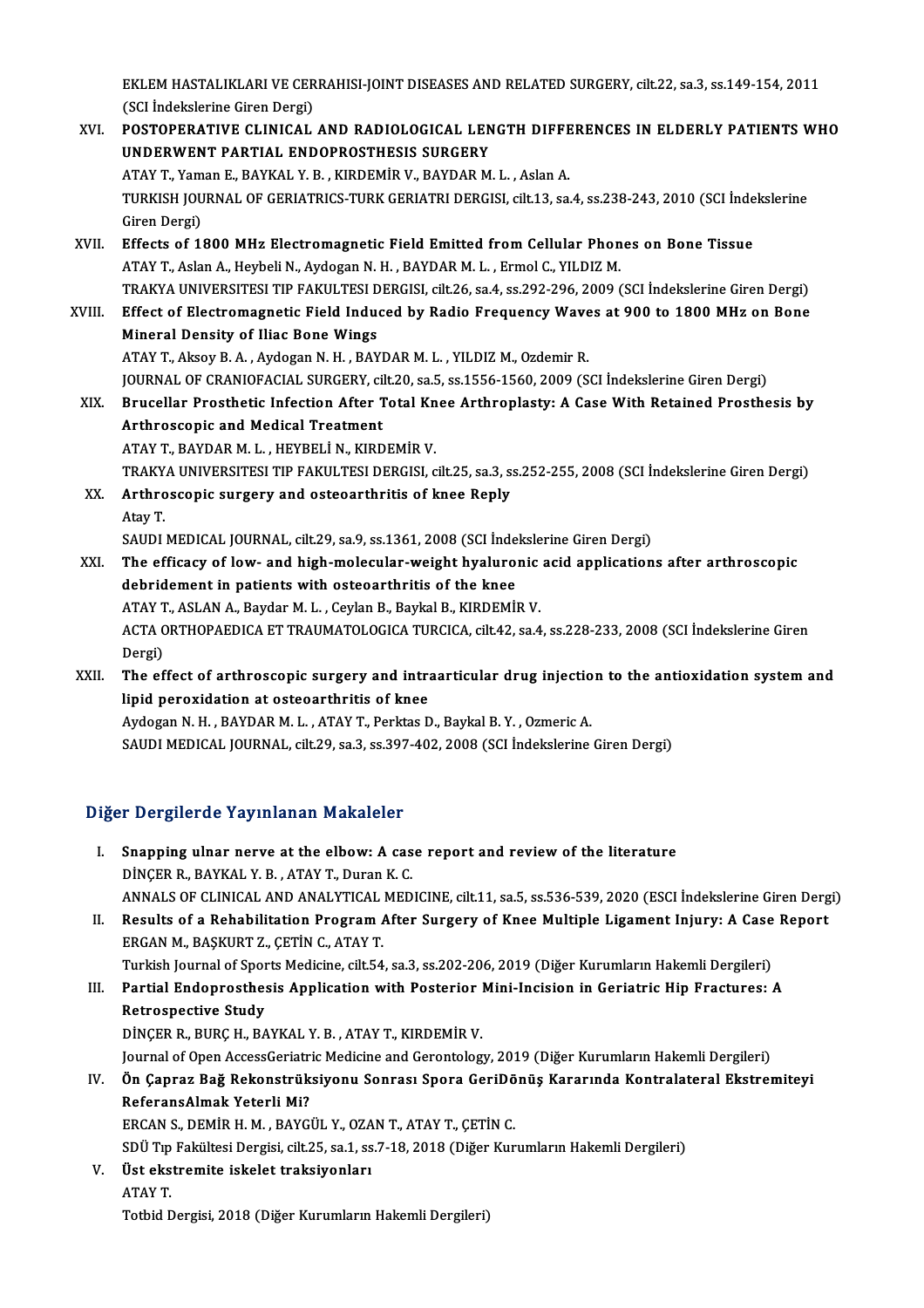EKLEM HASTALIKLARI VE CERRAHISI-JOINT DISEASES AND RELATED SURGERY, cilt.22, sa.3, ss.149-154, 2011<br>(SSL indekslerine Giren Dergi) EKLEM HASTALIKLARI VE CER<br>(SCI İndekslerine Giren Dergi)<br>POSTOPERATIVE CI INICAL EKLEM HASTALIKLARI VE CERRAHISI-JOINT DISEASES AND RELATED SURGERY, cilt.22, sa.3, ss.149-154, 2011<br>(SCI İndekslerine Giren Dergi)<br>XVI. POSTOPERATIVE CLINICAL AND RADIOLOGICAL LENGTH DIFFERENCES IN ELDERLY PATIENTS WHO

- (SCI İndekslerine Giren Dergi)<br>POSTOPERATIVE CLINICAL AND RADIOLOGICAL LENGTH DIFFERENCES IN ELDERLY PATIENTS WHO<br>UNDERWENT PARTIAL ENDOPROSTHESIS SURGERY ATAYT.,YamanE.,BAYKAL Y.B. ,KIRDEMİRV.,BAYDARM.L. ,AslanA. UNDERWENT PARTIAL ENDOPROSTHESIS SURGERY<br>ATAY T., Yaman E., BAYKAL Y. B. , KIRDEMİR V., BAYDAR M. L. , Aslan A.<br>TURKISH JOURNAL OF GERIATRICS-TURK GERIATRI DERGISI, cilt.13, sa.4, ss.238-243, 2010 (SCI İndekslerine<br>Ciron D ATAY T., Yam<br>TURKISH JOU<br>Giren Dergi)<br>Effects of 11 TURKISH JOURNAL OF GERIATRICS-TURK GERIATRI DERGISI, cilt.13, sa.4, ss.238-243, 2010 (SCI inde<br>Giren Dergi)<br>XVII. Effects of 1800 MHz Electromagnetic Field Emitted from Cellular Phones on Bone Tissue<br>ATAV T. Aslan A. Haube Giren Dergi)<br>Effects of 1800 MHz Electromagnetic Field Emitted from Cellular Phones on Bone Tissue<br>ATAY T., Aslan A., Heybeli N., Aydogan N. H. , BAYDAR M. L. , Ermol C., YILDIZ M.
- Effects of 1800 MHz Electromagnetic Field Emitted from Cellular Phones on Bone Tissue<br>ATAY T., Aslan A., Heybeli N., Aydogan N. H. , BAYDAR M. L. , Ermol C., YILDIZ M.<br>TRAKYA UNIVERSITESI TIP FAKULTESI DERGISI, cilt.26, sa
- XVIII. Effect of Electromagnetic Field Induced by Radio Frequency Waves at 900 to 1800 MHz on Bone<br>Mineral Density of Iliac Bone Wings TRAKYA UNIVERSITESI TIP FAKULTESI D<br>Effect of Electromagnetic Field Indue<br>Mineral Density of Iliac Bone Wings<br>ATAV T. Alsou B. A. Audesen N. H. BAV ATAY T., Aksoy B. A., Aydogan N. H., BAYDAR M. L., YILDIZ M., Ozdemir R. Mineral Density of Iliac Bone Wings<br>ATAY T., Aksoy B. A. , Aydogan N. H. , BAYDAR M. L. , YILDIZ M., Ozdemir R.<br>JOURNAL OF CRANIOFACIAL SURGERY, cilt.20, sa.5, ss.1556-1560, 2009 (SCI İndekslerine Giren Dergi)<br>Prusellar Pr ATAY T., Aksoy B. A. , Aydogan N. H. , BAYDAR M. L. , YILDIZ M., Ozdemir R.<br>JOURNAL OF CRANIOFACIAL SURGERY, cilt.20, sa.5, ss.1556-1560, 2009 (SCI İndekslerine Giren Dergi)<br>XIX. Brucellar Prosthetic Infection After Total **JOURNAL OF CRANIOFACIAL SURGERY, cil<br>Brucellar Prosthetic Infection After 1<br>Arthroscopic and Medical Treatment**<br>ATAV T. BAVDAR M. L. HEVPELLN, KIRD Brucellar Prosthetic Infection After Total Kn<br>Arthroscopic and Medical Treatment<br>ATAY T., BAYDAR M. L. , HEYBELİ N., KIRDEMİR V.<br>TRAKVA UNIVERSITESI TIR FAKULTESI DERÇISI Arthroscopic and Medical Treatment<br>ATAY T., BAYDAR M. L. , HEYBELİ N., KIRDEMİR V.<br>TRAKYA UNIVERSITESI TIP FAKULTESI DERGISI, cilt.25, sa.3, ss.252-255, 2008 (SCI İndekslerine Giren Dergi) ATAY T., BAYDAR M. L. , HEYBELİ N., KIRDEMİR V.<br>TRAKYA UNIVERSITESI TIP FAKULTESI DERGISI, cilt.25, sa.3, s:<br>XX. Arthroscopic surgery and osteoarthritis of knee Reply

TRAKY.<br><mark>Arthro</mark><br>Atay T. Atay T.<br>SAUDI MEDICAL JOURNAL, cilt.29, sa.9, ss.1361, 2008 (SCI İndekslerine Giren Dergi)

XXI. The efficacy of low- and high-molecular-weight hyaluronic acid applications after arthroscopic debridement in patients with osteoarthritis of the knee The efficacy of low- and high-molecular-weight hyaluronic<br>debridement in patients with osteoarthritis of the knee<br>ATAY T., ASLAN A., Baydar M. L. , Ceylan B., Baykal B., KIRDEMİR V.<br>ACTA OPTHORAEDICA ET TRAUMATOLOCICA TURC ACTA ORTHOPAEDICA ET TRAUMATOLOGICA TURCICA, cilt.42, sa.4, ss.228-233, 2008 (SCI İndekslerine Giren<br>Dergi) ATAY T<br>ACTA C<br>Dergi)<br>The of ACTA ORTHOPAEDICA ET TRAUMATOLOGICA TURCICA, cilt.42, sa.4, ss.228-233, 2008 (SCI Indekslerine Giren<br>Dergi)<br>XXII. The effect of arthroscopic surgery and intraarticular drug injection to the antioxidation system and<br>linid p

Dergi)<br>The effect of arthroscopic surgery and intra<br>lipid peroxidation at osteoarthritis of knee<br>Avdogan N H - BAYDAB M L - ATAY T-Borktas D The effect of arthroscopic surgery and intraarticular drug injectio<br>lipid peroxidation at osteoarthritis of knee<br>Aydogan N. H. , BAYDAR M. L. , ATAY T., Perktas D., Baykal B. Y. , Ozmeric A.<br>SAUDI MEDICAL JOUPNAL silt 29, lipid peroxidation at osteoarthritis of knee<br>Aydogan N. H. , BAYDAR M. L. , ATAY T., Perktas D., Baykal B. Y. , Ozmeric A.<br>SAUDI MEDICAL JOURNAL, cilt.29, sa.3, ss.397-402, 2008 (SCI İndekslerine Giren Dergi)

### Diğer Dergilerde Yayınlanan Makaleler

- I. Snapping ulnar nerve at the elbow: A case report and reviewof the literature DİNÇER R., BAYKAL Y.B., ATAY T., Duran K.C. ANNALS OF CLINICAL AND ANALYTICAL MEDICINE, cilt.11, sa.5, ss.536-539, 2020 (ESCI İndekslerine Giren Dergi) DINÇER R., BAYKAL Y. B. , ATAY T., Duran K. C.<br>ANNALS OF CLINICAL AND ANALYTICAL MEDICINE, cilt.11, sa.5, ss.536-539, 2020 (ESCI Indekslerine Giren Derg<br>II. Results of a Rehabilitation Program After Surgery of Knee Multipl
- ERGAN M., BAŞKURT Z., ÇETİN C., ATAY T.<br>Turkish Journal of Sports Medicine, cilt.54, sa.3, ss.202-206, 2019 (Diğer Kurumların Hakemli Dergileri) Results of a Rehabilitation Program After Surgery of Knee Multiple Ligament Injury: A Case<br>ERGAN M., BAŞKURT Z., ÇETİN C., ATAY T.<br>Turkish Journal of Sports Medicine, cilt.54, sa.3, ss.202-206, 2019 (Diğer Kurumların Hakem ERGAN M., BAŞKURT Z., ÇETİN C., ATAY T.<br>Turkish Journal of Sports Medicine, cilt.54, sa.3, ss.202-206, 2019 (Diğer Kurumların Hakemli Dergileri)<br>III. Partial Endoprosthesis Application with Posterior Mini-Incision in G

Turkish Journal of Spor<br>Partial Endoprosthes<br>Retrospective Study<br>DiNCER R. BURC H. BA Partial Endoprosthesis Application with Posterior |<br>Retrospective Study<br>DİNÇER R., BURÇ H., BAYKAL Y.B. , ATAY T., KIRDEMİR V.<br>Journal of Open AssessCovistrie Medisine and Carontales Retrospective Study<br>DİNÇER R., BURÇ H., BAYKAL Y. B. , ATAY T., KIRDEMİR V.<br>Journal of Open AccessGeriatric Medicine and Gerontology, 2019 (Diğer Kurumların Hakemli Dergileri)<br>Ön Cannar Bağ Bekanstrüksiyanu Sannası Spara C

DİNÇER R., BURÇ H., BAYKAL Y. B. , ATAY T., KIRDEMİR V.<br>Journal of Open AccessGeriatric Medicine and Gerontology, 2019 (Diğer Kurumların Hakemli Dergileri)<br>IV. Ön Çapraz Bağ Rekonstrüksiyonu Sonrası Spora GeriDönüş Kararın Journal of Open AccessGeriatr<br>Ön Çapraz Bağ Rekonstrük<br>ReferansAlmak Yeterli Mi?<br>EPCAN S. DEMIP H. M. PAYC Ön Çapraz Bağ Rekonstrüksiyonu Sonrası Spora GeriDö<br>ReferansAlmak Yeterli Mi?<br>ERCAN S., DEMİR H. M. , BAYGÜL Y., OZAN T., ATAY T., ÇETİN C.<br>SDÜ Tın Fekültesi Dergisi silt 25, 22 1, 22 7, 12, 2012 (Diğer Kur ReferansAlmak Yeterli Mi?<br>ERCAN S., DEMİR H. M. , BAYGÜL Y., OZAN T., ATAY T., ÇETİN C.<br>SDÜ Tıp Fakültesi Dergisi, cilt.25, sa.1, ss.7-18, 2018 (Diğer Kurumların Hakemli Dergileri)<br>Üst ekstremite iakelet treksiyerleri.

ERCAN S., DEMİR H. M. , BAYGÜL Y., OZAN T., ATAY T., ÇETİN C.<br>SDÜ Tıp Fakültesi Dergisi, cilt.25, sa.1, ss.7-18, 2018 (Diğer Kur<br>V. Üst ekstremite iskelet traksiyonları<br>ATAY T. SDÜ Tıp<br><mark>Üst eks</mark><br>ATAY T.<br>Tetbid F Totbid Dergisi, 2018 (Diğer Kurumların Hakemli Dergileri)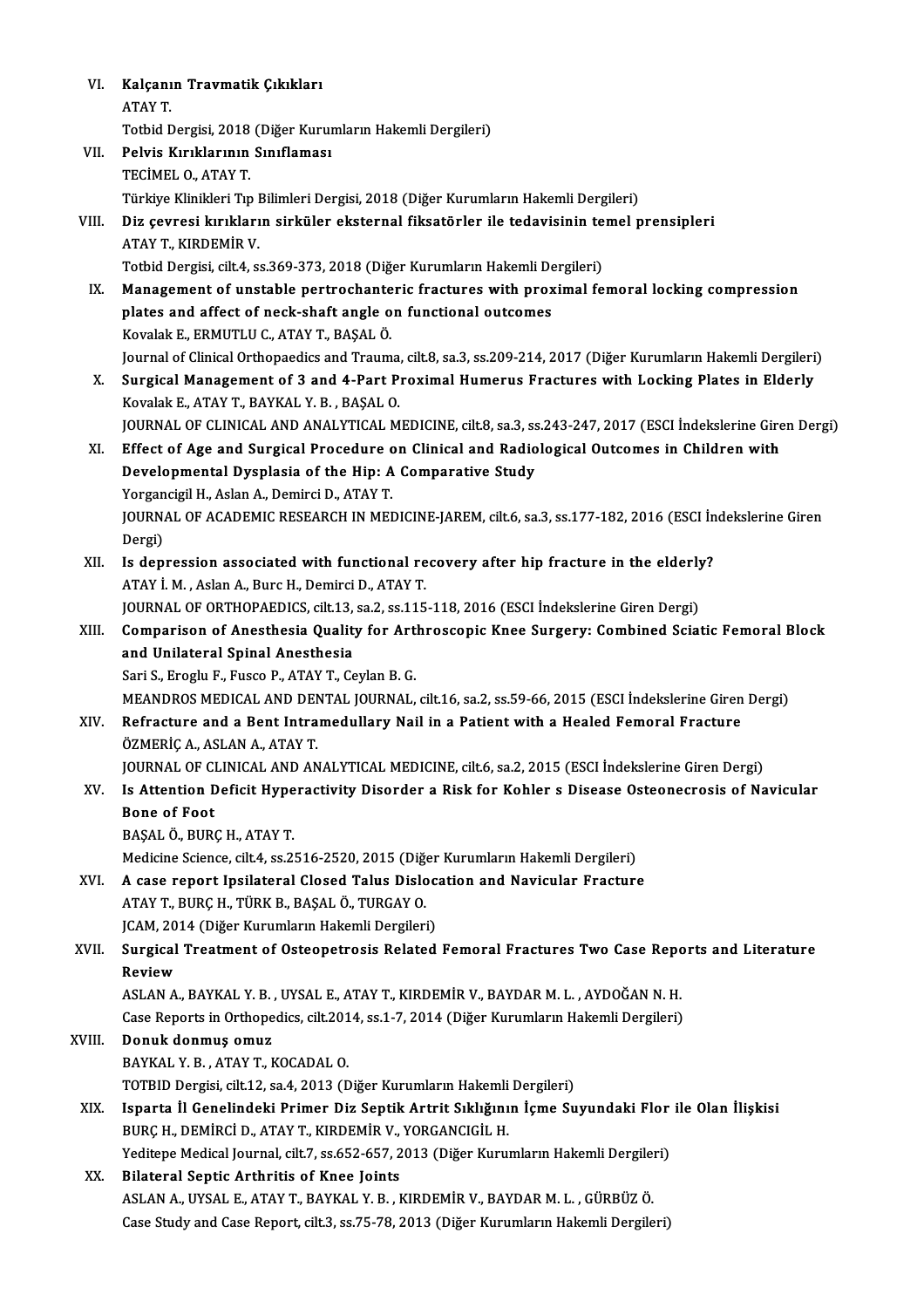| VI.    | Kalçanın Travmatik Çıkıkları                                                                                     |
|--------|------------------------------------------------------------------------------------------------------------------|
|        | ATAY T.                                                                                                          |
|        | Totbid Dergisi, 2018 (Diğer Kurumların Hakemli Dergileri)                                                        |
| VII.   | Pelvis Kırıklarının Sınıflaması                                                                                  |
|        | TECİMEL O., ATAY T.                                                                                              |
|        | Türkiye Klinikleri Tıp Bilimleri Dergisi, 2018 (Diğer Kurumların Hakemli Dergileri)                              |
| VIII.  | Diz çevresi kırıkların sirküler eksternal fiksatörler ile tedavisinin temel prensipleri                          |
|        | ATAY T., KIRDEMİR V.                                                                                             |
|        | Totbid Dergisi, cilt 4, ss.369-373, 2018 (Diğer Kurumların Hakemli Dergileri)                                    |
| IX.    | Management of unstable pertrochanteric fractures with proximal femoral locking compression                       |
|        | plates and affect of neck-shaft angle on functional outcomes                                                     |
|        | Kovalak E., ERMUTLU C., ATAY T., BAŞAL Ö.                                                                        |
|        | Journal of Clinical Orthopaedics and Trauma, cilt.8, sa.3, ss.209-214, 2017 (Diğer Kurumların Hakemli Dergileri) |
| X.     | Surgical Management of 3 and 4-Part Proximal Humerus Fractures with Locking Plates in Elderly                    |
|        | Kovalak E., ATAY T., BAYKAL Y. B., BAŞAL O.                                                                      |
|        | JOURNAL OF CLINICAL AND ANALYTICAL MEDICINE, cilt.8, sa.3, ss.243-247, 2017 (ESCI İndekslerine Giren Dergi)      |
| XI.    | Effect of Age and Surgical Procedure on Clinical and Radiological Outcomes in Children with                      |
|        | Developmental Dysplasia of the Hip: A Comparative Study                                                          |
|        | Yorgancigil H., Aslan A., Demirci D., ATAY T.                                                                    |
|        | JOURNAL OF ACADEMIC RESEARCH IN MEDICINE-JAREM, cilt.6, sa.3, ss.177-182, 2016 (ESCI Indekslerine Giren          |
|        | Dergi)                                                                                                           |
| XII.   | Is depression associated with functional recovery after hip fracture in the elderly?                             |
|        | ATAY İ. M., Aslan A., Burc H., Demirci D., ATAY T.                                                               |
|        | JOURNAL OF ORTHOPAEDICS, cilt.13, sa.2, ss.115-118, 2016 (ESCI İndekslerine Giren Dergi)                         |
| XIII.  | Comparison of Anesthesia Quality for Arthroscopic Knee Surgery: Combined Sciatic Femoral Block                   |
|        | and Unilateral Spinal Anesthesia                                                                                 |
|        | Sari S., Eroglu F., Fusco P., ATAY T., Ceylan B. G.                                                              |
|        | MEANDROS MEDICAL AND DENTAL JOURNAL, cilt.16, sa.2, ss.59-66, 2015 (ESCI İndekslerine Giren Dergi)               |
| XIV.   | Refracture and a Bent Intramedullary Nail in a Patient with a Healed Femoral Fracture                            |
|        | ÖZMERİÇ A., ASLAN A., ATAY T.                                                                                    |
|        | JOURNAL OF CLINICAL AND ANALYTICAL MEDICINE, cilt.6, sa.2, 2015 (ESCI Indekslerine Giren Dergi)                  |
| XV.    | Is Attention Deficit Hyperactivity Disorder a Risk for Kohler s Disease Osteonecrosis of Navicular               |
|        | <b>Bone of Foot</b>                                                                                              |
|        | BAŞAL Ö., BURÇ H., ATAY T.                                                                                       |
|        | Medicine Science, cilt.4, ss.2516-2520, 2015 (Diğer Kurumların Hakemli Dergileri)                                |
| XVI.   | A case report Ipsilateral Closed Talus Dislocation and Navicular Fracture                                        |
|        | ATAY T., BURÇ H., TÜRK B., BAŞAL Ö., TURGAY O.                                                                   |
|        | JCAM, 2014 (Diğer Kurumların Hakemli Dergileri)                                                                  |
| XVII.  | Surgical Treatment of Osteopetrosis Related Femoral Fractures Two Case Reports and Literature                    |
|        | Review                                                                                                           |
|        | ASLAN A., BAYKAL Y. B. , UYSAL E., ATAY T., KIRDEMİR V., BAYDAR M. L. , AYDOĞAN N. H.                            |
|        | Case Reports in Orthopedics, cilt.2014, ss.1-7, 2014 (Diğer Kurumların Hakemli Dergileri)                        |
| XVIII. | Donuk donmuş omuz                                                                                                |
|        | BAYKAL Y B., ATAY T, KOCADAL O.                                                                                  |
|        | TOTBID Dergisi, cilt.12, sa.4, 2013 (Diğer Kurumların Hakemli Dergileri)                                         |
| XIX.   | Isparta İl Genelindeki Primer Diz Septik Artrit Sıklığının İçme Suyundaki Flor ile Olan İlişkisi                 |
|        | BURÇ H., DEMİRCİ D., ATAY T., KIRDEMİR V., YORGANCIGİL H.                                                        |
|        | Yeditepe Medical Journal, cilt.7, ss.652-657, 2013 (Diğer Kurumların Hakemli Dergileri)                          |
| XX.    | <b>Bilateral Septic Arthritis of Knee Joints</b>                                                                 |
|        | ASLAN A., UYSAL E., ATAY T., BAYKAL Y. B. , KIRDEMİR V., BAYDAR M. L. , GÜRBÜZ Ö.                                |
|        | Case Study and Case Report, cilt.3, ss.75-78, 2013 (Diğer Kurumların Hakemli Dergileri)                          |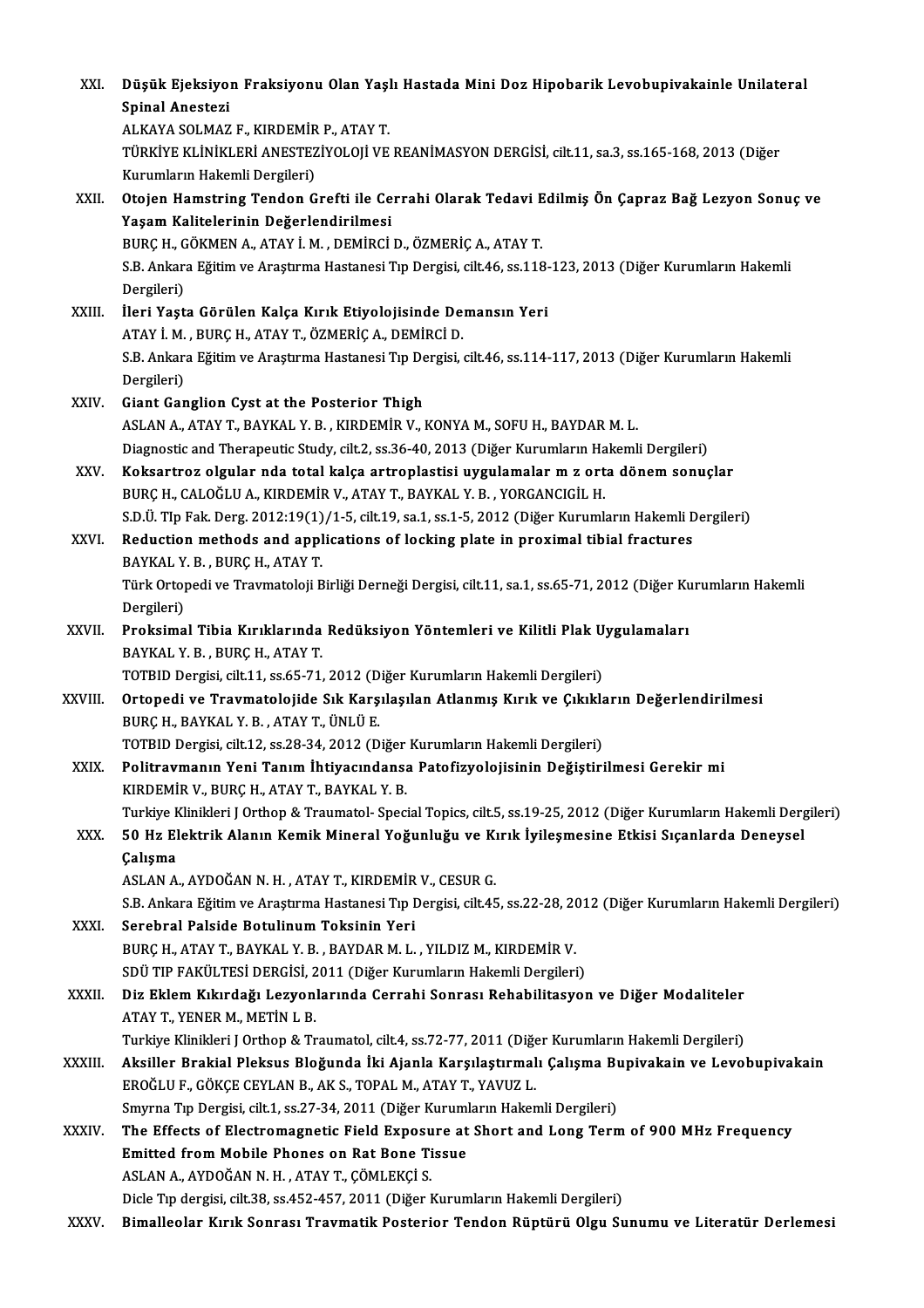| XXI.         | Düşük Ejeksiyon Fraksiyonu Olan Yaşlı Hastada Mini Doz Hipobarik Levobupivakainle Unilateral                           |
|--------------|------------------------------------------------------------------------------------------------------------------------|
|              | Spinal Anestezi                                                                                                        |
|              | ALKAYA SOLMAZ F., KIRDEMİR P., ATAY T.                                                                                 |
|              | TÜRKİYE KLİNİKLERİ ANESTEZİYOLOJİ VE REANİMASYON DERGİSİ, cilt.11, sa.3, ss.165-168, 2013 (Diğer                       |
|              | Kurumların Hakemli Dergileri)                                                                                          |
| XXII.        | Otojen Hamstring Tendon Grefti ile Cerrahi Olarak Tedavi Edilmiş Ön Çapraz Bağ Lezyon Sonuç ve                         |
|              | Yaşam Kalitelerinin Değerlendirilmesi                                                                                  |
|              | BURÇ H., GÖKMEN A., ATAY İ. M., DEMİRCİ D., ÖZMERİÇ A., ATAY T.                                                        |
|              | S.B. Ankara Eğitim ve Araştırma Hastanesi Tıp Dergisi, cilt.46, ss.118-123, 2013 (Diğer Kurumların Hakemli             |
| XXIII.       | Dergileri)<br>İleri Yaşta Görülen Kalça Kırık Etiyolojisinde Demansın Yeri                                             |
|              | ATAY İ. M., BURÇ H., ATAY T., ÖZMERİÇ A., DEMİRCİ D.                                                                   |
|              | S.B. Ankara Eğitim ve Araştırma Hastanesi Tıp Dergisi, cilt.46, ss.114-117, 2013 (Diğer Kurumların Hakemli             |
|              | Dergileri)                                                                                                             |
| <b>XXIV</b>  | Giant Ganglion Cyst at the Posterior Thigh                                                                             |
|              | ASLAN A., ATAY T., BAYKAL Y. B., KIRDEMİR V., KONYA M., SOFU H., BAYDAR M. L.                                          |
|              | Diagnostic and Therapeutic Study, cilt.2, ss.36-40, 2013 (Diğer Kurumların Hakemli Dergileri)                          |
| XXV.         | Koksartroz olgular nda total kalça artroplastisi uygulamalar m z orta dönem sonuçlar                                   |
|              | BURÇ H., CALOĞLU A., KIRDEMİR V., ATAY T., BAYKAL Y. B., YORGANCIGİL H.                                                |
|              | S.D.Ü. TIp Fak. Derg. 2012:19(1)/1-5, cilt.19, sa.1, ss.1-5, 2012 (Diğer Kurumların Hakemli Dergileri)                 |
| XXVI.        | Reduction methods and applications of locking plate in proximal tibial fractures                                       |
|              | BAYKAL Y. B., BURÇ H., ATAY T.                                                                                         |
|              | Türk Ortopedi ve Travmatoloji Birliği Derneği Dergisi, cilt.11, sa.1, ss.65-71, 2012 (Diğer Kurumların Hakemli         |
|              | Dergileri)                                                                                                             |
| <b>XXVII</b> | Proksimal Tibia Kırıklarında Redüksiyon Yöntemleri ve Kilitli Plak Uygulamaları                                        |
|              | BAYKAL Y.B., BURÇ H., ATAY T.<br>TOTBID Dergisi, cilt.11, ss.65-71, 2012 (Diğer Kurumların Hakemli Dergileri)          |
| XXVIII.      | Ortopedi ve Travmatolojide Sık Karşılaşılan Atlanmış Kırık ve Çıkıkların Değerlendirilmesi                             |
|              | BURÇ H., BAYKAL Y B., ATAY T., ÜNLÜ E.                                                                                 |
|              | TOTBID Dergisi, cilt.12, ss.28-34, 2012 (Diğer Kurumların Hakemli Dergileri)                                           |
| XXIX.        | Politravmanın Yeni Tanım İhtiyacındansa Patofizyolojisinin Değiştirilmesi Gerekir mi                                   |
|              | KIRDEMİR V., BURÇ H., ATAY T., BAYKAL Y. B.                                                                            |
|              | Turkiye Klinikleri J Orthop & Traumatol- Special Topics, cilt.5, ss.19-25, 2012 (Diğer Kurumların Hakemli Dergileri)   |
| XXX.         | 50 Hz Elektrik Alanın Kemik Mineral Yoğunluğu ve Kırık İyileşmesine Etkisi Sıçanlarda Deneysel                         |
|              | Çalışma                                                                                                                |
|              | ASLAN A., AYDOĞAN N. H., ATAY T., KIRDEMİR V., CESUR G.                                                                |
|              | S.B. Ankara Eğitim ve Araştırma Hastanesi Tıp Dergisi, cilt.45, ss.22-28, 2012 (Diğer Kurumların Hakemli Dergileri)    |
| XXXI.        | Serebral Palside Botulinum Toksinin Yeri                                                                               |
|              | BURÇ H., ATAY T., BAYKAL Y. B., BAYDAR M. L., YILDIZ M., KIRDEMİR V.                                                   |
|              | SDÜ TIP FAKÜLTESİ DERGİSİ, 2011 (Diğer Kurumların Hakemli Dergileri)                                                   |
| <b>XXXII</b> | Diz Eklem Kıkırdağı Lezyonlarında Cerrahi Sonrası Rehabilitasyon ve Diğer Modaliteler<br>ATAY T., YENER M., METIN L B. |
|              | Turkiye Klinikleri J Orthop & Traumatol, cilt.4, ss.72-77, 2011 (Diğer Kurumların Hakemli Dergileri)                   |
| XXXIII.      | Aksiller Brakial Pleksus Bloğunda İki Ajanla Karşılaştırmalı Çalışma Bupivakain ve Levobupivakain                      |
|              | EROĞLU F., GÖKÇE CEYLAN B., AK S., TOPAL M., ATAY T., YAVUZ L.                                                         |
|              | Smyrna Tıp Dergisi, cilt.1, ss.27-34, 2011 (Diğer Kurumların Hakemli Dergileri)                                        |
| XXXIV.       | The Effects of Electromagnetic Field Exposure at Short and Long Term of 900 MHz Frequency                              |
|              | Emitted from Mobile Phones on Rat Bone Tissue                                                                          |
|              | ASLAN A., AYDOĞAN N. H., ATAY T., ÇÖMLEKÇİ S.                                                                          |
|              | Dicle Tıp dergisi, cilt.38, ss.452-457, 2011 (Diğer Kurumların Hakemli Dergileri)                                      |
| XXXV.        | Bimalleolar Kırık Sonrası Travmatik Posterior Tendon Rüptürü Olgu Sunumu ve Literatür Derlemesi                        |
|              |                                                                                                                        |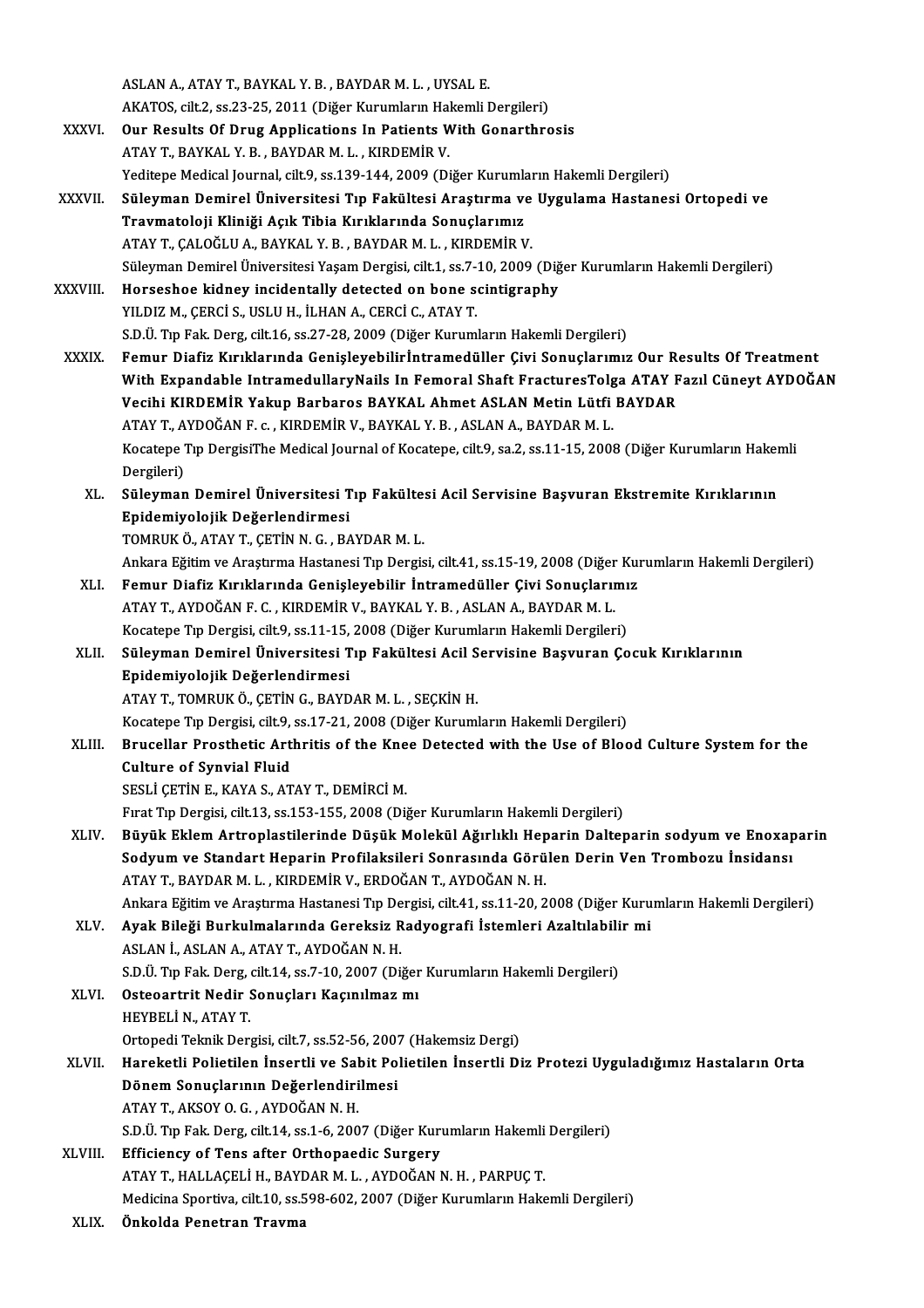ASLANA.,ATAYT.,BAYKAL Y.B. ,BAYDARM.L. ,UYSAL E.

- ASLAN A., ATAY T., BAYKAL Y. B. , BAYDAR M. L. , UYSAL E.<br>AKATOS, cilt.2, ss.23-25, 2011 (Diğer Kurumların Hakemli Dergileri)<br>Qun Besults Of Daug Anplisations In Bationts With Consathne XXXVI. Our Results Of Drug Applications In Patients With Gonarthrosis<br>ATAY T., BAYKAL Y. B., BAYDAR M. L., KIRDEMIR V. AKATOS, cilt.2, ss.23-25, 2011 (Diğer Kurumların Hal<br>Our Results Of Drug Applications In Patients W<br>ATAY T., BAYKAL Y. B., BAYDAR M. L., KIRDEMİR V.<br>Veditana Medical Jaumal, silt.0, ss.120,144, 2000 (Di
	- Yeditepe Medical Journal, cilt.9, ss.139-144, 2009 (Diğer Kurumların Hakemli Dergileri)
- XXXVII. Süleyman Demirel Üniversitesi Tıp Fakültesi Araştırma ve Uygulama Hastanesi Ortopedi ve Yeditepe Medical Journal, cilt.9, ss.139-144, 2009 (Diğer Kurumla<br>Süleyman Demirel Üniversitesi Tıp Fakültesi Araştırma ve<br>Travmatoloji Kliniği Açık Tibia Kırıklarında Sonuçlarımız<br>ATAVT CALOČLUA PAYKAL V B. PAYDAR M.L. KU Süleyman Demirel Üniversitesi Tıp Fakültesi Araştırma ve<br>Travmatoloji Kliniği Açık Tibia Kırıklarında Sonuçlarımız<br>ATAY T., ÇALOĞLU A., BAYKAL Y. B. , BAYDAR M. L. , KIRDEMİR V.<br>Süleyman Demirel Üniversitesi Yasam Dergisi Travmatoloji Kliniği Açık Tibia Kırıklarında Sonuçlarımız<br>ATAY T., ÇALOĞLU A., BAYKAL Y. B. , BAYDAR M. L. , KIRDEMİR V.<br>Süleyman Demirel Üniversitesi Yaşam Dergisi, cilt.1, ss.7-10, 2009 (Diğer Kurumların Hakemli Dergiler ATAY T., ÇALOĞLU A., BAYKAL Y. B. , BAYDAR M. L. , KIRDEMİR V.<br>Süleyman Demirel Üniversitesi Yaşam Dergisi, cilt.1, ss.7-10, 2009 (Diğ<br>XXXVIII. Horseshoe kidney incidentally detected on bone scintigraphy<br>YILDIZ M., ÇERCİ S
- Süleyman Demirel Üniversitesi Yaşam Dergisi, cilt.1, ss.7-1<br>Horseshoe kidney incidentally detected on bone se<br>YILDIZ M., ÇERCİ S., USLU H., İLHAN A., CERCİ C., ATAY T.<br>S.D.Ü. Tıp Fak. Derg. cilt.16, ss.27, 28, 2000 (Diğer S.D.Ü. Tıp Fak. Derg, cilt.16, ss.27-28, 2009 (Diğer Kurumların Hakemli Dergileri)
- XXXIX. Femur Diafiz Kırıklarında Genişleyebilirİntramedül er Çivi Sonuçlarımız Our Results Of Treatment S.D.Ü. Tıp Fak. Derg, cilt.16, ss.27-28, 2009 (Diğer Kurumların Hakemli Dergileri)<br>Femur Diafiz Kırıklarında Genişleyebilirİntramedüller Çivi Sonuçlarımız Our Results Of Treatment<br>With Expandable IntramedullaryNails In Fem Femur Diafiz Kırıklarında Genişleyebilirİntramedüller Çivi Sonuçlarımız Our Re<br>With Expandable IntramedullaryNails In Femoral Shaft FracturesTolga ATAY F<br>Vecihi KIRDEMİR Yakup Barbaros BAYKAL Ahmet ASLAN Metin Lütfi BAYDAR With Expandable IntramedullaryNails In Femoral Shaft FracturesTolg<br>Vecihi KIRDEMİR Yakup Barbaros BAYKAL Ahmet ASLAN Metin Lütfi<br>ATAY T., AYDOĞAN F. c. , KIRDEMİR V., BAYKAL Y. B. , ASLAN A., BAYDAR M. L.<br>Kesstens Tın Derg Vecihi KIRDEMİR Yakup Barbaros BAYKAL Ahmet ASLAN Metin Lütfi BAYDAR<br>ATAY T., AYDOĞAN F. c. , KIRDEMİR V., BAYKAL Y. B. , ASLAN A., BAYDAR M. L.<br>Kocatepe Tıp DergisiThe Medical Journal of Kocatepe, cilt.9, sa.2, ss.11-15, ATAY T., AYDOĞAN F. c., KIRDEMİR V., BAYKAL Y. B., ASLAN A., BAYDAR M. L. Kocatepe Tıp DergisiThe Medical Journal of Kocatepe, cilt.9, sa.2, ss.11-15, 2008 (Diğer Kurumların Haker<br>Dergileri)<br>XL. Süleyman Demirel Üniversitesi Tıp Fakültesi Acil Servisine Başvuran Ekstremite Kırıklarının<br>Faidemiye
	- Dergileri)<br>Süleyman Demirel Üniversitesi T<br>Epidemiyolojik Değerlendirmesi<br>TOMBUKÖ ATAV T. CETİN N.C. BA Süleyman Demirel Üniversitesi Tıp Fakülte:<br>Epidemiyolojik Değerlendirmesi<br>TOMRUK Ö., ATAY T., ÇETİN N. G. , BAYDAR M. L.<br>Ankara Fğitim ve Arastuma Hastanesi Tıp Dergiş Epidemiyolojik Değerlendirmesi<br>TOMRUK Ö., ATAY T., ÇETİN N. G. , BAYDAR M. L.<br>Ankara Eğitim ve Araştırma Hastanesi Tıp Dergisi, cilt.41, ss.15-19, 2008 (Diğer Kurumların Hakemli Dergileri)
		-
		-
	- TOMRUK Ö., ATAY T., ÇETİN N. G. , BAYDAR M. L.<br>Ankara Eğitim ve Araştırma Hastanesi Tıp Dergisi, cilt.41, ss.15-19, 2008 (Diğer Kuı<br>XLI. Femur Diafiz Kırıklarında Genişleyebilir İntramedüller Çivi Sonuçlarımız<br>ATAY T. AYDO Ankara Eğitim ve Araştırma Hastanesi Tıp Dergisi, cilt.41, ss.15-19, 2008 (Diğer<br>Femur Diafiz Kırıklarında Genişleyebilir İntramedüller Çivi Sonuçlarıı<br>ATAY T., AYDOĞAN F. C. , KIRDEMİR V., BAYKAL Y. B. , ASLAN A., BAYDAR Femur Diafiz Kırıklarında Genişleyebilir İntramedüller Çivi Sonuçlarımı<br>ATAY T., AYDOĞAN F. C. , KIRDEMİR V., BAYKAL Y. B. , ASLAN A., BAYDAR M. L.<br>Kocatepe Tıp Dergisi, cilt.9, ss.11-15, 2008 (Diğer Kurumların Hakemli Der ATAY T., AYDOĞAN F. C. , KIRDEMİR V., BAYKAL Y. B. , ASLAN A., BAYDAR M. L.<br>Kocatepe Tıp Dergisi, cilt.9, ss.11-15, 2008 (Diğer Kurumların Hakemli Dergileri)<br>XLII. Süleyman Demirel Üniversitesi Tıp Fakültesi Acil Servisine
	- Kocatepe Tıp Dergisi, cilt.9, ss.11-15,<br>Süleyman Demirel Üniversitesi T<br>Epidemiyolojik Değerlendirmesi<br>ATAV T. TOMPUK Ö. CETİN C. BAVD Süleyman Demirel Üniversitesi Tıp Fakültesi Acil S<br>Epidemiyolojik Değerlendirmesi<br>ATAY T., TOMRUK Ö., ÇETİN G., BAYDAR M. L. , SEÇKİN H.<br>Kesstane Tıp Dersisi silt 9, se 17,21,2008 (Diğer Kuruml Epidemiyolojik Değerlendirmesi<br>ATAY T., TOMRUK Ö., ÇETİN G., BAYDAR M. L. , SEÇKİN H.<br>Kocatepe Tıp Dergisi, cilt.9, ss.17-21, 2008 (Diğer Kurumların Hakemli Dergileri)<br>Prusellar Presthetis Arthritis of the Knee Detested wi
		-
		-
	- ATAY T., TOMRUK Ö., ÇETİN G., BAYDAR M. L. , SEÇKİN H.<br>Kocatepe Tıp Dergisi, cilt.9, ss.17-21, 2008 (Diğer Kurumların Hakemli Dergileri)<br>XLIII. Brucellar Prosthetic Arthritis of the Knee Detected with the Use of Blood Cult Kocatepe Tıp Dergisi, cilt.9,<br>Brucellar Prosthetic Art<br>Culture of Synvial Fluid<br>SESLİ CETİN E. KAYA S. AT
		- SESLİ ÇETİN E., KAYA S., ATAY T., DEMİRCİ M.

Fırat Tıp Dergisi, cilt.13, ss.153-155, 2008 (Diğer Kurumların Hakemli Dergileri)

XLIV. Büyük Eklem Artroplastilerinde Düşük Molekül Ağırlıklı Heparin Dalteparin sodyum ve Enoxaparin Fırat Tıp Dergisi, cilt.13, ss.153-155, 2008 (Diğer Kurumların Hakemli Dergileri)<br>Büyük Eklem Artroplastilerinde Düşük Molekül Ağırlıklı Heparin Dalteparin sodyum ve Enoxap<br>Sodyum ve Standart Heparin Profilaksileri Sonrası Büyük Eklem Artroplastilerinde Düşük Molekül Ağırlıklı Hep<br>Sodyum ve Standart Heparin Profilaksileri Sonrasında Görü<br>ATAY T., BAYDAR M. L. , KIRDEMİR V., ERDOĞAN T., AYDOĞAN N. H.<br>Ankara Eğitim ve Anastuma Hastanasi Tın Da Sodyum ve Standart Heparin Profilaksileri Sonrasında Görülen Derin Ven Trombozu İnsidansı<br>ATAY T., BAYDAR M. L. , KIRDEMİR V., ERDOĞAN T., AYDOĞAN N. H.<br>Ankara Eğitim ve Araştırma Hastanesi Tıp Dergisi, cilt.41, ss.11-20, ATAY T., BAYDAR M. L. , KIRDEMİR V., ERDOĞAN T., AYDOĞAN N. H.<br>Ankara Eğitim ve Araştırma Hastanesi Tıp Dergisi, cilt.41, ss.11-20, 2008 (Diğer Kuru<br>XLV. Ayak Bileği Burkulmalarında Gereksiz Radyografi İstemleri Azaltılabi

- Ankara Eğitim ve Araştırma Hastanesi Tıp De<br><mark>Ayak Bileği Burkulmalarında Gereksiz R</mark><br>ASLAN İ., ASLAN A., ATAY T., AYDOĞAN N. H.<br>S.D.Ü. Tıp Fak Darg gilt 14, ss.7, 10, 2007 (Dü Ayak Bileği Burkulmalarında Gereksiz Radyografi İstemleri Azaltılabili<br>ASLAN İ., ASLAN A., ATAY T., AYDOĞAN N. H.<br>S.D.Ü. Tıp Fak. Derg, cilt.14, ss.7-10, 2007 (Diğer Kurumların Hakemli Dergileri)<br>Ostaaartrit Nadir Sanuslar ASLAN İ., ASLAN A., ATAY T., AYDOĞAN N. H.<br>S.D.Ü. Tıp Fak. Derg, cilt.14, ss.7-10, 2007 (Diğer<br>XLVI. Osteoartrit Nedir Sonuçları Kaçınılmaz mı
- S.D.Ü. Tıp Fak. Derg, o<br>Osteoartrit Nedir<br>HEYBELİ N., ATAY T.<br>Ortenedi Telmik Der Osteoartrit Nedir Sonuçları Kaçınılmaz mı<br>HEYBELİ N., ATAY T.<br>Ortopedi Teknik Dergisi, cilt.7, ss.52-56, 2007 (Hakemsiz Dergi)<br>Haneketli Belietilen İnsertli ve Sebit Belietilen İnsertli Di
- HEYBELİ N., ATAY T.<br>Ortopedi Teknik Dergisi, cilt.7, ss.52-56, 2007 (Hakemsiz Dergi)<br>XLVII. Hareketli Polietilen İnsertli ve Sabit Polietilen İnsertli Diz Protezi Uyguladığımız Hastaların Orta Ortopedi Teknik Dergisi, cilt.7, ss.52-56, 2007<br>Hareketli Polietilen İnsertli ve Sabit Po<br>Dönem Sonuçlarının Değerlendirilmesi<br>ATAVT, AKSOVO G. AYDOČAN N.H Hareketli Polietilen İnsertli ve Sal<br>Dönem Sonuçlarının Değerlendiri<br>ATAY T., AKSOY O. G. , AYDOĞAN N. H.<br>S.D.Ü. T.p. Fak. Darg. silt 14. ss.1.6.200 Dönem Sonuçlarının Değerlendirilmesi<br>ATAY T., AKSOY O. G. , AYDOĞAN N. H.<br>S.D.Ü. Tıp Fak. Derg, cilt.14, ss.1-6, 2007 (Diğer Kurumların Hakemli Dergileri)<br>Efficionev of Tone ofter Orthonoodio Surgery
	-
- ATAY T., AKSOY O. G. , AYDOĞAN N. H.<br>S.D.Ü. Tıp Fak. Derg, cilt.14, ss.1-6, 2007 (Diğer Kurumların Hakemli<br>XLVIII. Efficiency of Tens after Orthopaedic Surgery<br>ATAY T., HALLAÇELİ H., BAYDAR M. L. , AYDOĞAN N. H. , PARPUÇ T S.D.Ü. Tıp Fak. Derg, cilt.14, ss.1-6, 2007 (Diğer Kurumların Hakemli<br>Efficiency of Tens after Orthopaedic Surgery<br>ATAY T., HALLAÇELİ H., BAYDAR M. L. , AYDOĞAN N. H. , PARPUÇ T.<br>Medisine Sportive, silt 10, ss.598,693,2007 Medicina Sportiva, cilt.10, ss.598-602, 2007 (Diğer Kurumların Hakemli Dergileri)
- XLIX. Önkolda Penetran Travma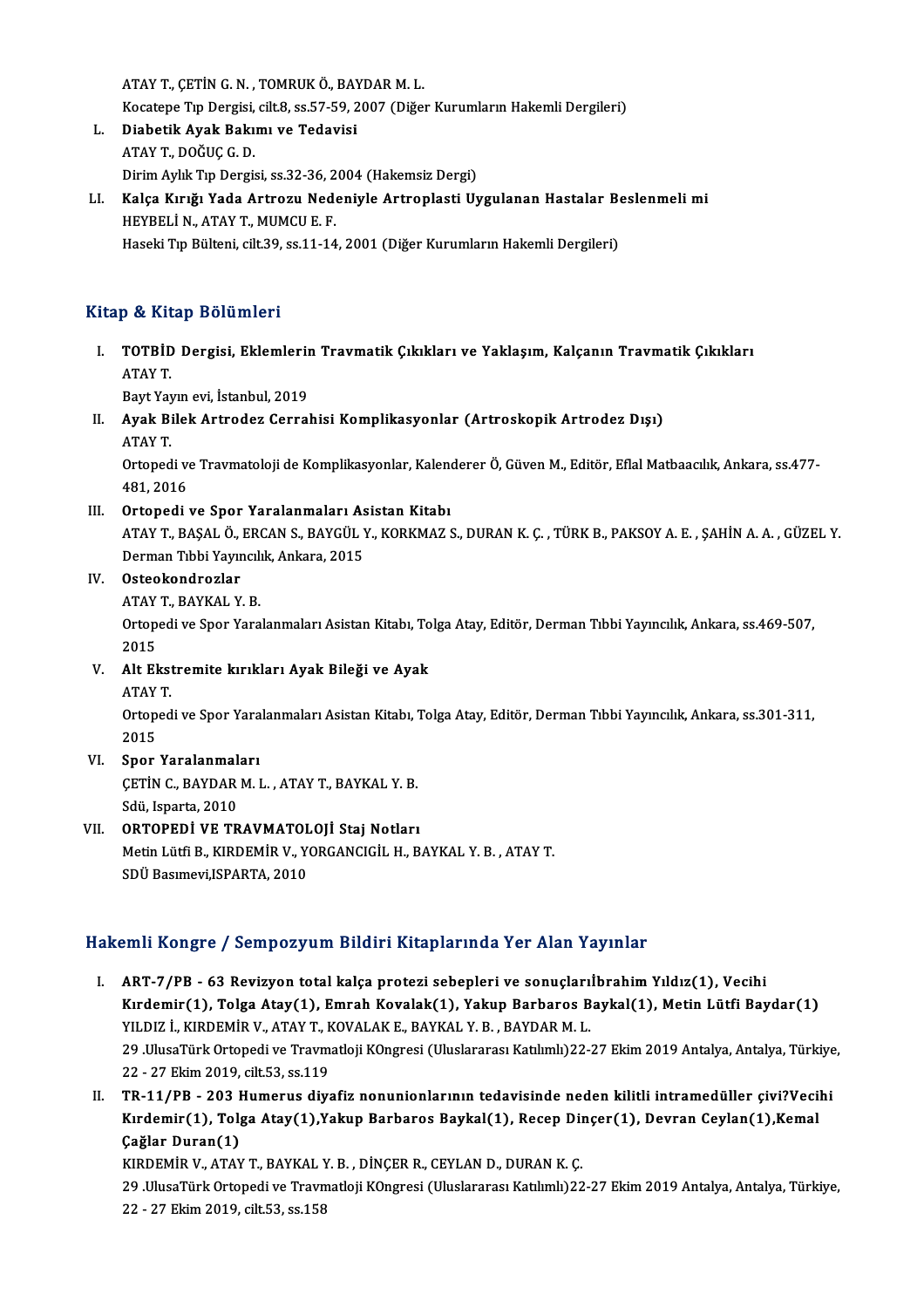ATAYT.,ÇETİNG.N. ,TOMRUKÖ.,BAYDARM.L. ATAY T., ÇETİN G. N. , TOMRUK Ö., BAYDAR M. L.<br>Kocatepe Tıp Dergisi, cilt.8, ss.57-59, 2007 (Diğer Kurumların Hakemli Dergileri)<br>Diabetik Avak Bakımı ve Todovisi ATAY T., ÇETİN G. N., TOMRUK Ö., BAY<br>Kocatepe Tıp Dergisi, cilt.8, ss.57-59, 2<br>L. Diabetik Ayak Bakımı ve Tedavisi

- Kocatepe Tıp Dergisi,<br><mark>Diabetik Ayak Bakı</mark>:<br>ATAY T., DOĞUÇ G. D.<br>Dirim Aylık Tın Dergi L. Diabetik Ayak Bakımı ve Tedavisi<br>ATAY T., DOĞUÇ G. D.<br>Dirim Aylık Tıp Dergisi, ss.32-36, 2004 (Hakemsiz Dergi)
- ATAY T., DOĞUÇ G. D.<br>Dirim Aylık Tıp Dergisi, ss.32-36, 2004 (Hakemsiz Dergi)<br>LI. Kalça Kırığı Yada Artrozu Nedeniyle Artroplasti Uygulanan Hastalar Beslenmeli mi<br>HEVPELLN, ATAY T. MIMCU E. E HEYBELİ N., ATAY T., MUMCU E. F.<br>Haseki Tıp Bülteni, cilt.39, ss.11-14, 2001 (Diğer Kurumların Hakemli Dergileri) Kalça Kırığı Yada Artrozu Nedeniyle Artroplasti Uygulanan Hastalar Be<br>HEYBELİ N., ATAY T., MUMCU E. F.<br>Haseki Tıp Bülteni, cilt.39, ss.11-14, 2001 (Diğer Kurumların Hakemli Dergileri)

### Kitap & Kitap Bölümleri

İtap & Kitap Bölümleri<br>I. TOTBİD Dergisi, Eklemlerin Travmatik Çıkıkları ve Yaklaşım, Kalçanın Travmatik Çıkıkları<br>ATAV T P & III<br>TOTBID<br>ATAY T. **TOTBİD Dergisi, Eklemlerir**<br>ATAY T.<br>Bayt Yayın evi, İstanbul, 2019<br>Ayak Bilak Artraday Carral

ATAY T.<br>Bayt Yayın evi, İstanbul, 2019<br>II. Ayak Bilek Artrodez Cerrahisi Komplikasyonlar (Artroskopik Artrodez Dışı)<br>ATAY T Bayt Yay<br>**Ayak Bi**<br>ATAY T. Ayak Bilek Artrodez Cerrahisi Komplikasyonlar (Artroskopik Artrodez Dışı)<br>ATAY T.<br>Ortopedi ve Travmatoloji de Komplikasyonlar, Kalenderer Ö, Güven M., Editör, Eflal Matbaacılık, Ankara, ss.477-

ATAY T.<br>Ortopedi ve<br>481, 2016<br>Ortopedi :

I I. Ortopedi ve Spor Yaralanmaları Asistan Kitabı

481, 2016<br>Ortopedi ve Spor Yaralanmaları Asistan Kitabı<br>ATAY T., BAŞAL Ö., ERCAN S., BAYGÜL Y., KORKMAZ S., DURAN K. Ç. , TÜRK B., PAKSOY A. E. , ŞAHİN A. A. , GÜZEL Y<br>Derman Tıbbi Yayıncılık Ankara 2015 Ortopedi ve Spor Yaralanmaları As<br>ATAY T., BAŞAL Ö., ERCAN S., BAYGÜL )<br>Derman Tıbbi Yayıncılık, Ankara, 2015<br>Ostaakandrazlar Derman Tıbbi Yayıncılık, Ankara, 2015

### IV. Osteokondrozlar

ATAY T., BAYKAL Y. B.

Ortopedi ve Spor Yaralanmaları Asistan Kitabı, Tolga Atay, Editör, Derman Tıbbi Yayıncılık, Ankara, ss.469-507,<br>2015 Ortopedi ve Spor Yaralanmaları Asistan Kitabı, To<br>2015<br>V. Alt Ekstremite kırıkları Ayak Bileği ve Ayak<br>ATAVT

- 2015<br>Alt Ekst<br>ATAY T.<br>Ortaned
	-

Alt Ekstremite kırıkları Ayak Bileği ve Ayak<br>ATAY T.<br>Ortopedi ve Spor Yaralanmaları Asistan Kitabı, Tolga Atay, Editör, Derman Tıbbi Yayıncılık, Ankara, ss.301-311, ATAY<br>Ortop<br>2015<br>Span

## VI. Spor Yaralanmaları

2015<br>Spor Yaralanmaları<br>ÇETİN C., BAYDAR M. L. , ATAY T., BAYKAL Y. B.<br>Sdü. Japarta 2010 Spor Yaralanmal<br>ÇETİN C., BAYDAR<br>Sdü, Isparta, 2010<br>OPTOPEDİ VE TP

## Sdü, Isparta, 2010<br>VII. ORTOPEDİ VE TRAVMATOLOJİ Staj Notları MetinLütfiB.,KIRDEMİRV.,YORGANCIGİLH.,BAYKAL Y.B. ,ATAYT. SDÜ Basımevi, ISPARTA, 2010

### Hakemli Kongre / Sempozyum Bildiri Kitaplarında Yer Alan Yayınlar

- I. ART-7/PB 63 Revizyon total kalça protezi sebepleri ve sonuçlarıİbrahim Yıldız(1), Vecihi XIIII IRSINGI OY BEMPERYAM BIRATI IRRAPAI IRAN YET IRAH YAYARIN.<br>ART-7/PB - 63 Revizyon total kalça protezi sebepleri ve sonuçlarıİbrahim Yıldız(1), Vecihi<br>Kırdemir(1), Tolga Atay(1), Emrah Kovalak(1), Yakup Barbaros Bayka ART-7/PB - 63 Revizyon total kalça protezi sebepleri ve sonuçları<br>Kırdemir(1), Tolga Atay(1), Emrah Kovalak(1), Yakup Barbaros B<br>YILDIZ İ., KIRDEMİR V., ATAY T., KOVALAK E., BAYKAL Y. B., BAYDAR M. L.<br>20 HluseTürk Ortopodi Kırdemir(1), Tolga Atay(1), Emrah Kovalak(1), Yakup Barbaros Baykal(1), Metin Lütfi Baydar(1)<br>YILDIZ İ., KIRDEMİR V., ATAY T., KOVALAK E., BAYKAL Y. B. , BAYDAR M. L.<br>29 .UlusaTürk Ortopedi ve Travmatloji KOngresi (Uluslar YILDIZ İ., KIRDEMİR V., ATAY T., F<br>29 .UlusaTürk Ortopedi ve Travm<br>22 - 27 Ekim 2019, cilt.53, ss.119<br>TP 11/PP - 202 Humorus dive 29 .UlusaTürk Ortopedi ve Travmatloji KOngresi (Uluslararası Katılımlı)22-27 Ekim 2019 Antalya, Antalya, Türkiye<br>22 - 27 Ekim 2019, cilt.53, ss.119<br>II. TR-11/PB - 203 Humerus diyafiz nonunionlarının tedavisinde neden k
- 22 27 Ekim 2019, cilt.53, ss.119<br>TR-11/PB 203 Humerus diyafiz nonunionlarının tedavisinde neden kilitli intramedüller çivi?Vecil<br>Kırdemir(1), Tolga Atay(1),Yakup Barbaros Baykal(1), Recep Dinçer(1), Devran Ceylan(1),Ke TR-11/PB - 203 I<br>Kırdemir(1), Tol<sub>{</sub><br>Çağlar Duran(1)<br>KIRDEMİR V. ATAY Kırdemir(1), Tolga Atay(1),Yakup Barbaros Baykal(1), Recep Dinçer(1), Devran Ceylan(1),Kemal<br>Çağlar Duran(1)<br>KIRDEMİR V., ATAY T., BAYKAL Y. B. , DİNÇER R., CEYLAN D., DURAN K. Ç.

Çağlar Duran(1)<br>KIRDEMİR V., ATAY T., BAYKAL Y. B. , DİNÇER R., CEYLAN D., DURAN K. Ç.<br>29. UlusaTürk Ortopedi ve Travmatloji KOngresi (Uluslararası Katılımlı)22-27 Ekim 2019 Antalya, Antalya, Türkiye,<br>22. .27 Ekim 2019, ci KIRDEMİR V., ATAY T., BAYKAL Y<br>29 .UlusaTürk Ortopedi ve Travn<br>22 - 27 Ekim 2019, cilt.53, ss.158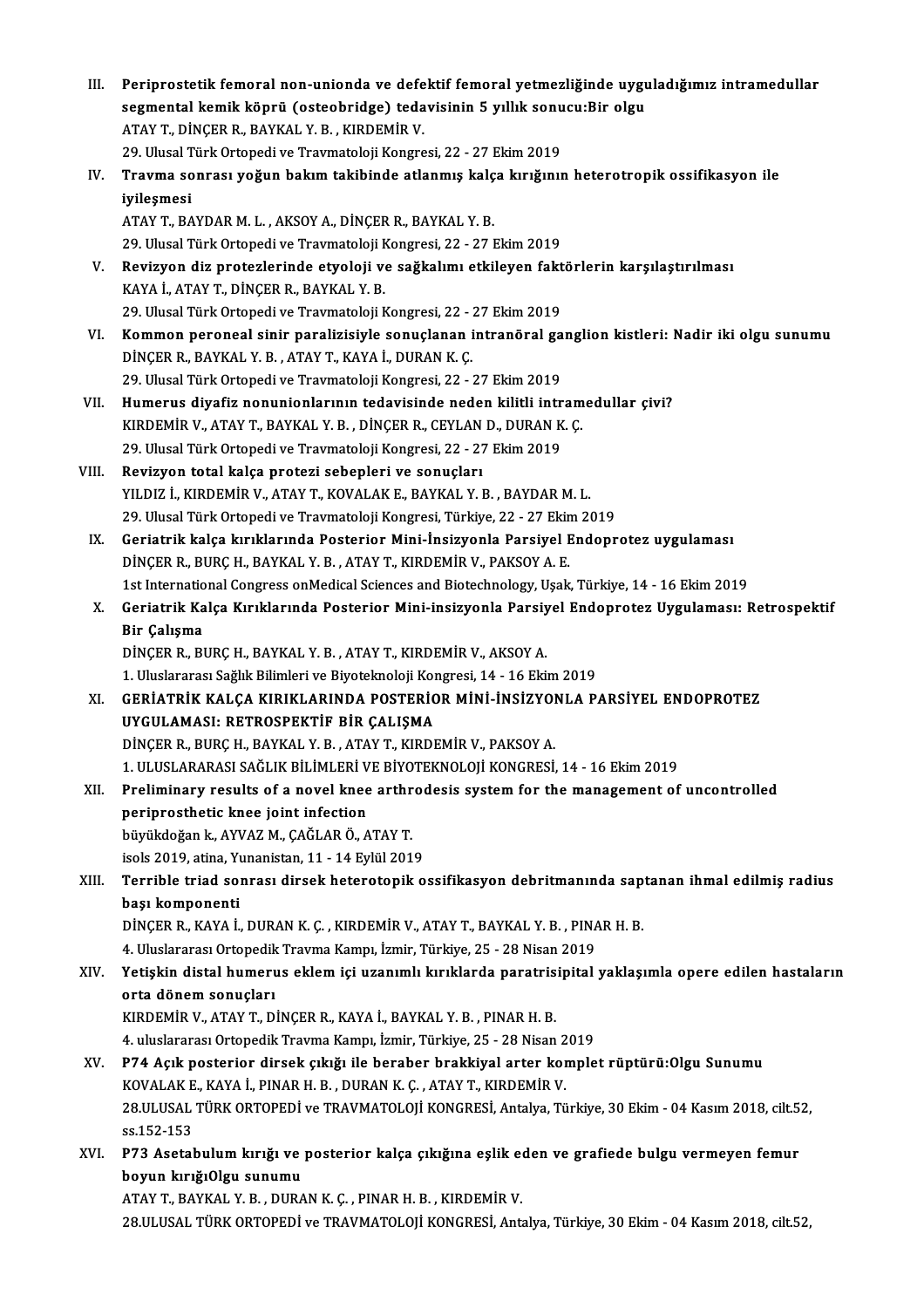| III.  | Periprostetik femoral non-unionda ve defektif femoral yetmezliğinde uyguladığımız intramedullar                                                                                       |
|-------|---------------------------------------------------------------------------------------------------------------------------------------------------------------------------------------|
|       | segmental kemik köprü (osteobridge) tedavisinin 5 yıllık sonucu:Bir olgu                                                                                                              |
|       | ATAY T., DINÇER R., BAYKAL Y. B., KIRDEMIR V.                                                                                                                                         |
|       | 29. Ulusal Türk Ortopedi ve Travmatoloji Kongresi, 22 - 27 Ekim 2019                                                                                                                  |
| IV.   | Travma sonrası yoğun bakım takibinde atlanmış kalça kırığının heterotropik ossifikasyon ile                                                                                           |
|       | iyileşmesi                                                                                                                                                                            |
|       | ATAY T., BAYDAR M. L., AKSOY A., DİNÇER R., BAYKAL Y. B.                                                                                                                              |
|       | 29. Ulusal Türk Ortopedi ve Travmatoloji Kongresi, 22 - 27 Ekim 2019                                                                                                                  |
| V.    | Revizyon diz protezlerinde etyoloji ve sağkalımı etkileyen faktörlerin karşılaştırılması                                                                                              |
|       | KAYA İ., ATAY T., DİNÇER R., BAYKAL Y. B.                                                                                                                                             |
|       | 29. Ulusal Türk Ortopedi ve Travmatoloji Kongresi, 22 - 27 Ekim 2019                                                                                                                  |
| VI.   | Kommon peroneal sinir paralizisiyle sonuçlanan intranöral ganglion kistleri: Nadir iki olgu sunumu                                                                                    |
|       | DİNÇER R., BAYKAL Y. B., ATAY T., KAYA İ., DURAN K. Ç.                                                                                                                                |
|       | 29. Ulusal Türk Ortopedi ve Travmatoloji Kongresi, 22 - 27 Ekim 2019                                                                                                                  |
| VII.  | Humerus diyafiz nonunionlarının tedavisinde neden kilitli intramedullar çivi?                                                                                                         |
|       | KIRDEMİR V., ATAY T., BAYKAL Y. B., DİNÇER R., CEYLAN D., DURAN K. Ç.                                                                                                                 |
| VIII. | 29. Ulusal Türk Ortopedi ve Travmatoloji Kongresi, 22 - 27 Ekim 2019                                                                                                                  |
|       | Revizyon total kalça protezi sebepleri ve sonuçları<br>YILDIZ İ., KIRDEMİR V., ATAY T., KOVALAK E., BAYKAL Y. B., BAYDAR M. L.                                                        |
|       | 29. Ulusal Türk Ortopedi ve Travmatoloji Kongresi, Türkiye, 22 - 27 Ekim 2019                                                                                                         |
| IX.   | Geriatrik kalça kırıklarında Posterior Mini-İnsizyonla Parsiyel Endoprotez uygulaması                                                                                                 |
|       | DİNÇER R., BURÇ H., BAYKAL Y. B., ATAY T., KIRDEMİR V., PAKSOY A. E.                                                                                                                  |
|       | 1st International Congress on Medical Sciences and Biotechnology, Uşak, Türkiye, 14 - 16 Ekim 2019                                                                                    |
| Х.    | Geriatrik Kalça Kırıklarında Posterior Mini-insizyonla Parsiyel Endoprotez Uygulaması: Retrospektif                                                                                   |
|       | Bir Çalışma                                                                                                                                                                           |
|       | DİNÇER R., BURÇ H., BAYKAL Y. B., ATAY T., KIRDEMİR V., AKSOY A.                                                                                                                      |
|       | 1. Uluslararası Sağlık Bilimleri ve Biyoteknoloji Kongresi, 14 - 16 Ekim 2019                                                                                                         |
| XI.   | GERIATRIK KALÇA KIRIKLARINDA POSTERIOR MINI-INSIZYONLA PARSIYEL ENDOPROTEZ                                                                                                            |
|       | UYGULAMASI: RETROSPEKTİF BİR CALISMA                                                                                                                                                  |
|       | DİNÇER R., BURÇ H., BAYKAL Y. B., ATAY T., KIRDEMİR V., PAKSOY A.                                                                                                                     |
|       | 1. ULUSLARARASI SAĞLIK BİLİMLERİ VE BİYOTEKNOLOJİ KONGRESİ, 14 - 16 Ekim 2019                                                                                                         |
| XII.  | Preliminary results of a novel knee arthrodesis system for the management of uncontrolled                                                                                             |
|       | periprosthetic knee joint infection                                                                                                                                                   |
|       | büyükdoğan k., AYVAZ M., ÇAĞLAR Ö., ATAY T.                                                                                                                                           |
|       | isols 2019, atina, Yunanistan, 11 - 14 Eylül 2019                                                                                                                                     |
| XIII. | Terrible triad sonrası dirsek heterotopik ossifikasyon debritmanında saptanan ihmal edilmiş radius                                                                                    |
|       | başı komponenti                                                                                                                                                                       |
|       | DİNÇER R., KAYA İ., DURAN K. Ç., KIRDEMİR V., ATAY T., BAYKAL Y. B., PINAR H. B.                                                                                                      |
| XIV.  | 4. Uluslararası Ortopedik Travma Kampı, İzmir, Türkiye, 25 - 28 Nisan 2019<br>Yetişkin distal humerus eklem içi uzanımlı kırıklarda paratrisipital yaklaşımla opere edilen hastaların |
|       | orta dönem sonuçları                                                                                                                                                                  |
|       | KIRDEMİR V., ATAY T., DİNÇER R., KAYA İ., BAYKAL Y. B., PINAR H. B.                                                                                                                   |
|       | 4. uluslararası Ortopedik Travma Kampı, İzmir, Türkiye, 25 - 28 Nisan 2019                                                                                                            |
| XV.   | P74 Açık posterior dirsek çıkığı ile beraber brakkiyal arter komplet rüptürü: Olgu Sunumu                                                                                             |
|       | KOVALAK E., KAYA İ., PINAR H. B., DURAN K. Ç., ATAY T., KIRDEMİR V.                                                                                                                   |
|       | 28.ULUSAL TÜRK ORTOPEDİ ve TRAVMATOLOJİ KONGRESİ, Antalya, Türkiye, 30 Ekim - 04 Kasım 2018, cilt.52,                                                                                 |
|       | ss 152-153                                                                                                                                                                            |
| XVI.  | P73 Asetabulum kırığı ve posterior kalça çıkığına eşlik eden ve grafiede bulgu vermeyen femur                                                                                         |
|       | boyun kırığıOlgu sunumu                                                                                                                                                               |
|       | ATAY T., BAYKAL Y. B., DURAN K. Ç., PINAR H. B., KIRDEMİR V.                                                                                                                          |
|       | 28.ULUSAL TÜRK ORTOPEDİ ve TRAVMATOLOJİ KONGRESİ, Antalya, Türkiye, 30 Ekim - 04 Kasım 2018, cilt.52,                                                                                 |
|       |                                                                                                                                                                                       |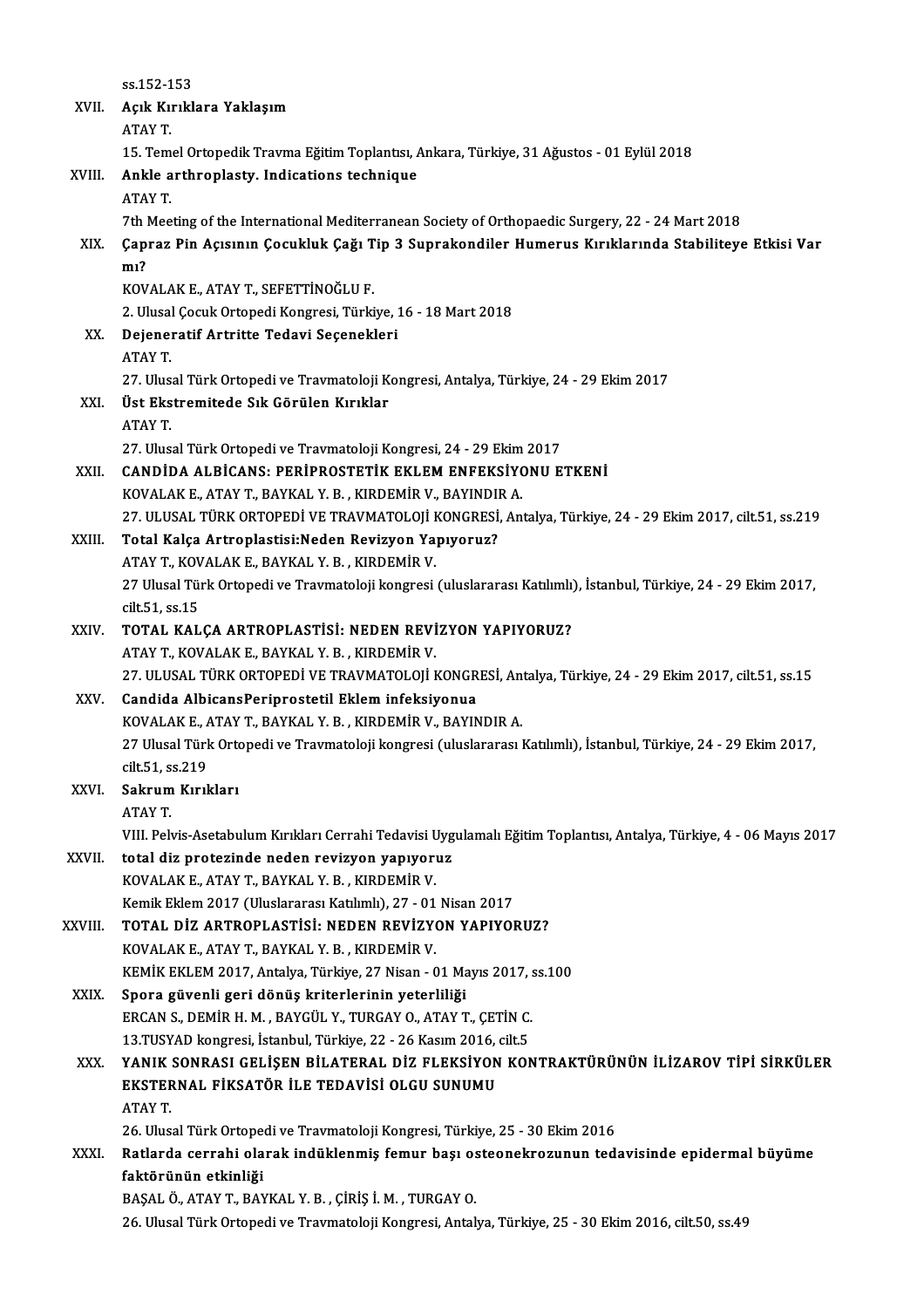ss.152-153 ss.152-153<br>XVII. Açık Kırıklara Yaklaşım<br>ATAV T ss 152-1<br>Açık Ku<br>ATAY T.<br>15 Tem Açık Kırıklara Yaklaşım<br>ATAY T.<br>15. Temel Ortopedik Travma Eğitim Toplantısı, Ankara, Türkiye, 31 Ağustos - 01 Eylül 2018<br>Ankla arthroplasty, Indisations tashnisus ATAY T.<br>15. Temel Ortopedik Travma Eğitim Toplantısı, *1*<br>XVIII. **Ankle arthroplasty. Indications technique**<br>ATAY T. 15. Tem<br>Ankle a<br>ATAY T.<br><sup>7th Moo</sup> Ankle arthroplasty. Indications technique<br>ATAY T.<br>7th Meeting of the International Mediterranean Society of Orthopaedic Surgery, 22 - 24 Mart 2018<br>Cannas Bin Acusum Cosukluk Coğu Tin 3 Sunnakandilar Humanus Kırıklarında St ATAY T.<br>7th Meeting of the International Mediterranean Society of Orthopaedic Surgery, 22 - 24 Mart 2018<br>XIX. Çapraz Pin Açısının Çocukluk Çağı Tip 3 Suprakondiler Humerus Kırıklarında Stabiliteye Etkisi Var<br>m1? 7th I<br>Çapı<br>mı?<br><sub>KOV</sub> Çapraz Pin Açısının Çocukluk Çağı T<br>mı?<br>KOVALAK E., ATAY T., SEFETTİNOĞLU F.<br>2. Ulucel Cosuk Ortonedi Konsresi Türki mı?<br>KOVALAK E., ATAY T., SEFETTİNOĞLU F.<br>2. Ulusal Çocuk Ortopedi Kongresi, Türkiye, 16 - 18 Mart 2018<br>Dejaneratif Artritta Todavi Sasanekleri KOVALAK E., ATAY T., SEFETTİNOĞLU F.<br>2. Ulusal Çocuk Ortopedi Kongresi, Türkiye, .<br>XX. Dejeneratif Artritte Tedavi Seçenekleri<br>ATAY T. 2. Ulusal<br>Dejener<br>ATAY T.<br>27. Ulus Dejeneratif Artritte Tedavi Seçenekleri<br>ATAY T.<br>27. Ulusal Türk Ortopedi ve Travmatoloji Kongresi, Antalya, Türkiye, 24 - 29 Ekim 2017<br>Üst Ekstremitede Sık Görülen Kırıkler XXI. Üst Ekstremitede Sık Görülen Kırıklar 27. Ulus<br>**Üst Eks**<br>ATAY T Üst Ekstremitede Sık Görülen Kırıklar<br>ATAY T.<br>27. Ulusal Türk Ortopedi ve Travmatoloji Kongresi, 24 - 29 Ekim 2017<br>CANDİDA ALBİCANS, PERİPROSTETİK EKLEM ENEEKSİYONU E XXII. CANDİDA ALBİCANS: PERİPROSTETİK EKLEM ENFEKSİYONU ETKENİ<br>KOVALAK E., ATAY T., BAYKAL Y. B., KIRDEMİR V., BAYINDIR A. 27. Ulusal Türk Ortopedi ve Travmatoloji Kongresi, 24 - 29 Ekim<br>CANDİDA ALBİCANS: PERİPROSTETİK EKLEM ENFEKSİYO<br>KOVALAK E., ATAY T., BAYKAL Y. B. , KIRDEMİR V., BAYINDIR A.<br>27. ULUSAL TÜRK ORTOPEDI VE TRAVMATOLOU KONGRESI, CANDİDA ALBİCANS: PERİPROSTETİK EKLEM ENFEKSİYONU ETKENİ<br>KOVALAK E., ATAY T., BAYKAL Y. B. , KIRDEMİR V., BAYINDIR A.<br>27. ULUSAL TÜRK ORTOPEDİ VE TRAVMATOLOJİ KONGRESİ, Antalya, Türkiye, 24 - 29 Ekim 2017, cilt.51, ss.219<br> XXI I. Total Kalça Artroplastisi:Neden Revizyon Yapıyoruz? 27. ULUSAL TÜRK ORTOPEDİ VE TRAVMATOLOJİ I<br>Total Kalça Artroplastisi:Neden Revizyon Ya<br>ATAY T., KOVALAK E., BAYKAL Y. B. , KIRDEMİR V.<br>27 Huyel Türk Ortopedi ve Traymatoloji kongresi Total Kalça Artroplastisi:Neden Revizyon Yapıyoruz?<br>ATAY T., KOVALAK E., BAYKAL Y. B. , KIRDEMİR V.<br>27 Ulusal Türk Ortopedi ve Travmatoloji kongresi (uluslararası Katılımlı), İstanbul, Türkiye, 24 - 29 Ekim 2017,<br>silt 51 s ATAY T., KOV<br>27 Ulusal Tür<br>cilt.51, ss.15<br>TOTAL KAL 27 Ulusal Türk Ortopedi ve Travmatoloji kongresi (uluslararası Katılımlı)<br>cilt.51, ss.15<br>XXIV. TOTAL KALÇA ARTROPLASTİSİ: NEDEN REVİZYON YAPIYORUZ? cilt.51, ss.15<br>TOTAL KALÇA ARTROPLASTİSİ: NEDEN REVİZYON YAPIYORUZ?<br>ATAY T., KOVALAK E., BAYKAL Y. B. , KIRDEMİR V. TOTAL KALÇA ARTROPLASTİSİ: NEDEN REVİZYON YAPIYORUZ?<br>ATAY T., KOVALAK E., BAYKAL Y. B. , KIRDEMİR V.<br>27. ULUSAL TÜRK ORTOPEDİ VE TRAVMATOLOJİ KONGRESİ, Antalya, Türkiye, 24 - 29 Ekim 2017, cilt.51, ss.15<br>Candida AlbisanaPe ATAY T., KOVALAK E., BAYKAL Y. B. , KIRDEMİR V.<br>27. ULUSAL TÜRK ORTOPEDİ VE TRAVMATOLOJİ KONGR<br>XXV. Candida AlbicansPeriprostetil Eklem infeksiyonua<br>2007ALAK E. ATAY T. BAYKAL Y. B., KIRDEMİR V. BAYIN 27. ULUSAL TÜRK ORTOPEDİ VE TRAVMATOLOJİ KONGRESİ, Antandida AlbicansPeriprostetil Eklem infeksiyonua<br>KOVALAK E., ATAY T., BAYKAL Y. B. , KIRDEMİR V., BAYINDIR A.<br>27 Huyal Türk Ortopedi ve Traymatoloji kongresi (uluslarara Candida AlbicansPeriprostetil Eklem infeksiyonua<br>KOVALAK E., ATAY T., BAYKAL Y. B. , KIRDEMİR V., BAYINDIR A.<br>27 Ulusal Türk Ortopedi ve Travmatoloji kongresi (uluslararası Katılımlı), İstanbul, Türkiye, 24 - 29 Ekim 2017, KOVALAK E., *f*<br>27 Ulusal Türk<br>cilt.51, ss.219<br>Sokuum Kurl 27 Ulusal Türk Orto<br>cilt.51, ss.219<br>XXVI. Sakrum Kırıkları<br>ATAV T cilt.51, s<mark>:</mark><br>Sakrum<br>ATAY T.<br>VIII. Pol: ATAY T.<br>VIII. Pelvis-Asetabulum Kırıkları Cerrahi Tedavisi Uygulamalı Eğitim Toplantısı, Antalya, Türkiye, 4 - 06 Mayıs 2017 ATAY T.<br>VIII. Pelvis-Asetabulum Kırıkları Cerrahi Tedavisi Uyg<br>XXVII. total diz protezinde neden revizyon yapıyoruz<br>VOVALAK E. ATAY T. BAYKAL Y. B. KIRDEMİR V. VIII. Pelvis-Asetabulum Kırıkları Cerrahi Tedavisi U<br>total diz protezinde neden revizyon yapıyorı<br>KOVALAK E., ATAY T., BAYKAL Y. B. , KIRDEMİR V.<br>Kamil: Eldam 2017 (Uluslararası Katılımlı) 27., 01. KOVALAK E., ATAY T., BAYKAL Y. B., KIRDEMİR V.<br>Kemik Eklem 2017 (Uluslararası Katılımlı), 27 - 01 Nisan 2017 KOVALAK E., ATAY T., BAYKAL Y. B. , KIRDEMİR V.<br>Kemik Eklem 2017 (Uluslararası Katılımlı), 27 - 01 Nisan 2017<br>XXVIII. TOTAL DİZ ARTROPLASTİSİ: NEDEN REVİZYON YAPIYORUZ?<br>KOVALAK E. ATAY'T PAYKAL V B. KIRDEMİR V. Kemik Eklem 2017 (Uluslararası Katılımlı), 27 - 01<br>**TOTAL DİZ ARTROPLASTİSİ: NEDEN REVİZYOR**<br>KOVALAK E., ATAY T., BAYKAL Y. B. , KIRDEMİR V.<br>KEMİK EKLEM 2017, Antalya Türkiye 27 Nisan, G TOTAL DİZ ARTROPLASTİSI: NEDEN REVİZYON YAPIYORUZ?<br>KOVALAK E., ATAY T., BAYKAL Y. B. , KIRDEMİR V.<br>KEMİK EKLEM 2017, Antalya, Türkiye, 27 Nisan - 01 Mayıs 2017, ss.100<br>Spora güyenli geri dönüş kritorlerinin yeterliye; KOVALAK E., ATAY T., BAYKAL Y. B., KIRDEMİR V.<br>KEMİK EKLEM 2017, Antalya, Türkiye, 27 Nisan - 01 Mayıs 2017, ss.100<br>XXIX. Spora güvenli geri dönüş kriterlerinin yeterliliği KEMİK EKLEM 2017, Antalya, Türkiye, 27 Nisan - 01 Mayıs 2017, s<br>Spora güvenli geri dönüş kriterlerinin yeterliliği<br>ERCAN S., DEMİR H. M. , BAYGÜL Y., TURGAY O., ATAY T., ÇETİN C.<br>12 TUSYAD kongresi, İstanbul Türkiye, 22,, Spora güvenli geri dönüş kriterlerinin yeterliliği<br>ERCAN S., DEMİR H. M. , BAYGÜL Y., TURGAY O., ATAY T., ÇETİN C.<br>13.TUSYAD kongresi, İstanbul, Türkiye, 22 - 26 Kasım 2016, cilt.5<br>YANIK SONRASI CELİSEN BİLATERAL DİZ ELEKS ERCAN S., DEMİR H. M. , BAYGÜL Y., TURGAY O., ATAY T., ÇETİN C.<br>13.TUSYAD kongresi, İstanbul, Türkiye, 22 - 26 Kasım 2016, cilt.5<br>XXX. YANIK SONRASI GELİŞEN BİLATERAL DİZ FLEKSİYON KONTRAKTÜRÜNÜN İLİZAROV TİPİ SİRKÜLER 13.TUSYAD kongresi, İstanbul, Türkiye, 22 - 26 Kasım 2016,<br>YANIK SONRASI GELİŞEN BİLATERAL DİZ FLEKSİYON<br>EKSTERNAL FİKSATÖR İLE TEDAVİSİ OLGU SUNUMU<br>ATAYT **YANIK:<br>EKSTEF<br>ATAY T.** EKSTERNAL FİKSATÖR İLE TEDAVİSİ OLGU SUNUMU<br>ATAY T.<br>26. Ulusal Türk Ortopedi ve Travmatoloji Kongresi, Türkiye, 25 - 30 Ekim 2016 ATAY T.<br>26. Ulusal Türk Ortopedi ve Travmatoloji Kongresi, Türkiye, 25 - 30 Ekim 2016<br>XXXI. Ratlarda cerrahi olarak indüklenmiş femur başı osteonekrozunun tedavisinde epidermal büyüme<br>faktörünün atkinliği 26. Ulusal Türk Ortope<br><mark>Ratlarda cerrahi ola</mark><br>faktörünün etkinliği<br>PASAL Ö. ATAVT PAN Ratlarda cerrahi olarak indüklenmiş femur başı os<br>faktörünün etkinliği<br>BAŞAL Ö., ATAY T., BAYKAL Y. B. , ÇİRİŞ İ. M. , TURGAY O.<br>26 Hlugal Türk Ortopedi ve Traymatalaji Kongresi Antal f<mark>aktörünün etkinliği</mark><br>1992. BAŞAL Ö., ATAY T., BAYKAL Y. B. , ÇİRİŞ İ. M. , TURGAY O.<br>26. Ulusal Türk Ortopedi ve Travmatoloji Kongresi, Antalya, Türkiye, 25 - 30 Ekim 2016, cilt.50, ss.49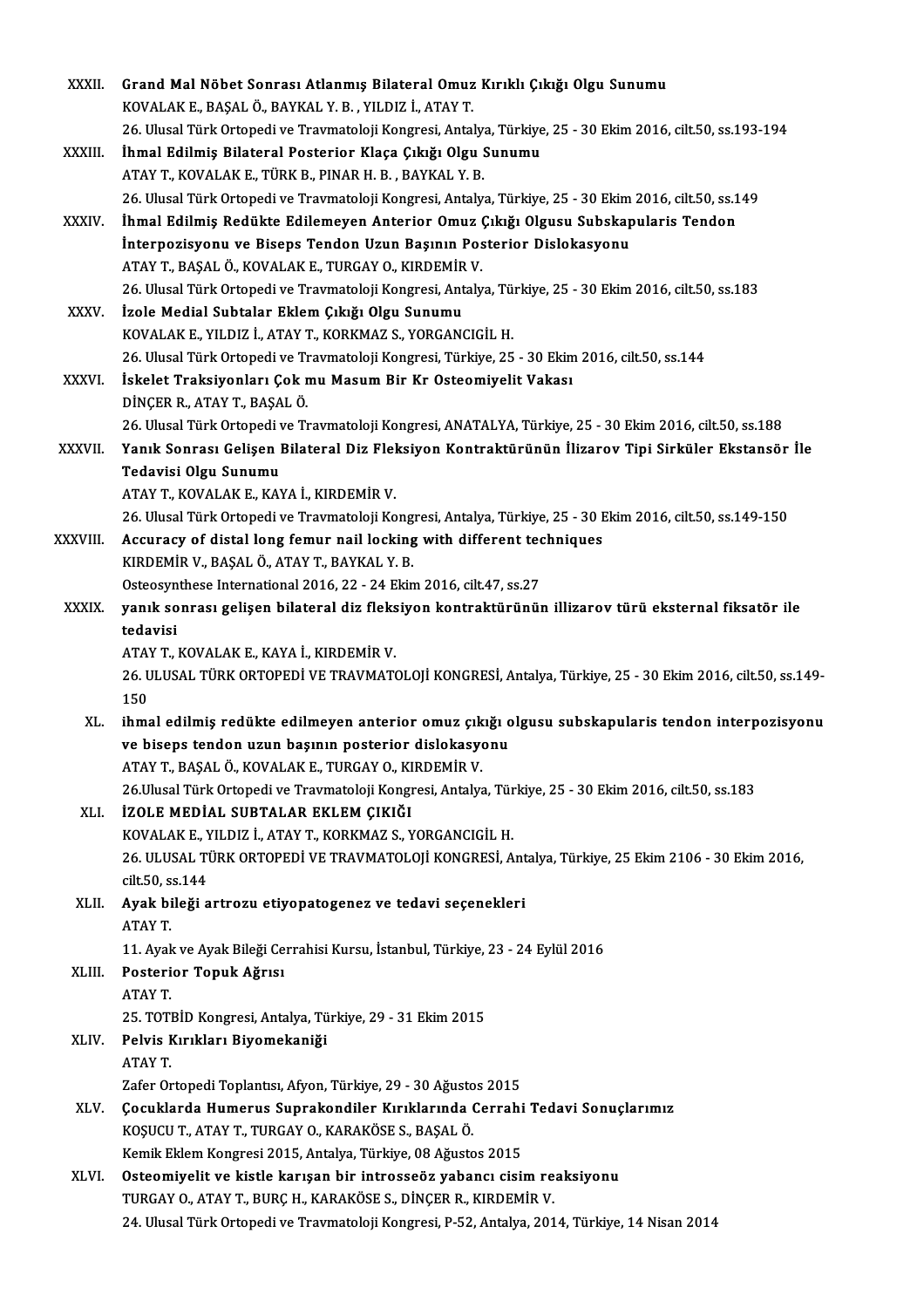| XXXII.       | Grand Mal Nöbet Sonrası Atlanmış Bilateral Omuz Kırıklı Çıkığı Olgu Sunumu                                                                   |
|--------------|----------------------------------------------------------------------------------------------------------------------------------------------|
|              | KOVALAK E., BAŞAL Ö., BAYKAL Y. B., YILDIZ İ., ATAY T.                                                                                       |
|              | 26. Ulusal Türk Ortopedi ve Travmatoloji Kongresi, Antalya, Türkiye, 25 - 30 Ekim 2016, cilt 50, ss.193-194                                  |
| XXXIII.      | İhmal Edilmiş Bilateral Posterior Klaça Çıkığı Olgu Sunumu                                                                                   |
|              | ATAY T., KOVALAK E., TÜRK B., PINAR H. B., BAYKAL Y. B.                                                                                      |
|              | 26. Ulusal Türk Ortopedi ve Travmatoloji Kongresi, Antalya, Türkiye, 25 - 30 Ekim 2016, cilt.50, ss.149                                      |
| XXXIV.       | İhmal Edilmiş Redükte Edilemeyen Anterior Omuz Çıkığı Olgusu Subskapularis Tendon                                                            |
|              | İnterpozisyonu ve Biseps Tendon Uzun Başının Posterior Dislokasyonu                                                                          |
|              | ATAY T., BAŞAL Ö., KOVALAK E., TURGAY O., KIRDEMİR V.                                                                                        |
|              | 26. Ulusal Türk Ortopedi ve Travmatoloji Kongresi, Antalya, Türkiye, 25 - 30 Ekim 2016, cilt.50, ss.183                                      |
| <b>XXXV</b>  | İzole Medial Subtalar Eklem Çıkığı Olgu Sunumu                                                                                               |
|              | KOVALAK E., YILDIZ İ., ATAY T., KORKMAZ S., YORGANCIGİL H.                                                                                   |
|              | 26. Ulusal Türk Ortopedi ve Travmatoloji Kongresi, Türkiye, 25 - 30 Ekim 2016, cilt.50, ss.144                                               |
| <b>XXXVI</b> | İskelet Traksiyonları Çok mu Masum Bir Kr Osteomiyelit Vakası                                                                                |
|              | DİNÇER R., ATAY T., BAŞAL Ö.                                                                                                                 |
|              | 26. Ulusal Türk Ortopedi ve Travmatoloji Kongresi, ANATALYA, Türkiye, 25 - 30 Ekim 2016, cilt.50, ss.188                                     |
| XXXVII.      | Yanık Sonrası Gelişen Bilateral Diz Fleksiyon Kontraktürünün İlizarov Tipi Sirküler Ekstansör İle                                            |
|              | Tedavisi Olgu Sunumu                                                                                                                         |
|              | ATAY T., KOVALAK E., KAYA İ., KIRDEMİR V.                                                                                                    |
|              | 26. Ulusal Türk Ortopedi ve Travmatoloji Kongresi, Antalya, Türkiye, 25 - 30 Ekim 2016, cilt.50, ss.149-150                                  |
| XXXVIII.     | Accuracy of distal long femur nail locking with different techniques                                                                         |
|              | KIRDEMİR V., BAŞAL Ö., ATAY T., BAYKAL Y. B.                                                                                                 |
|              | Osteosynthese International 2016, 22 - 24 Ekim 2016, cilt.47, ss.27                                                                          |
| <b>XXXIX</b> | yanık sonrası gelişen bilateral diz fleksiyon kontraktürünün illizarov türü eksternal fiksatör ile                                           |
|              | tedavisi                                                                                                                                     |
|              | ATAY T., KOVALAK E., KAYA İ., KIRDEMİR V.                                                                                                    |
|              | 26. ULUSAL TÜRK ORTOPEDİ VE TRAVMATOLOJİ KONGRESİ, Antalya, Türkiye, 25 - 30 Ekim 2016, cilt.50, ss.149-                                     |
|              | 150                                                                                                                                          |
| XL.          | ihmal edilmiş redükte edilmeyen anterior omuz çıkığı olgusu subskapularis tendon interpozisyonu                                              |
|              | ve biseps tendon uzun başının posterior dislokasyonu                                                                                         |
|              | ATAY T., BAŞAL Ö., KOVALAK E., TURGAY O., KIRDEMİR V.                                                                                        |
|              | 26.Ulusal Türk Ortopedi ve Travmatoloji Kongresi, Antalya, Türkiye, 25 - 30 Ekim 2016, cilt.50, ss 183                                       |
| XLI.         | İZOLE MEDİAL SUBTALAR EKLEM ÇIKIĞI                                                                                                           |
|              | KOVALAK E., YILDIZ İ., ATAY T., KORKMAZ S., YORGANCIGİL H.                                                                                   |
|              | 26. ULUSAL TÜRK ORTOPEDİ VE TRAVMATOLOJİ KONGRESİ, Antalya, Türkiye, 25 Ekim 2106 - 30 Ekim 2016,                                            |
|              | cilt 50, ss 144                                                                                                                              |
| XLII.        | Ayak bileği artrozu etiyopatogenez ve tedavi seçenekleri                                                                                     |
|              | ATAY T                                                                                                                                       |
|              | 11. Ayak ve Ayak Bileği Cerrahisi Kursu, İstanbul, Türkiye, 23 - 24 Eylül 2016                                                               |
| XLIII.       | Posterior Topuk Ağrısı                                                                                                                       |
|              | ATAY T                                                                                                                                       |
|              | 25. TOTBİD Kongresi, Antalya, Türkiye, 29 - 31 Ekim 2015                                                                                     |
| XLIV.        | Pelvis Kırıkları Biyomekaniği                                                                                                                |
|              | ATAY T                                                                                                                                       |
|              | Zafer Ortopedi Toplantısı, Afyon, Türkiye, 29 - 30 Ağustos 2015<br>Çocuklarda Humerus Suprakondiler Kırıklarında Cerrahi Tedavi Sonuçlarımız |
| XLV.         | KOŞUCU T., ATAY T., TURGAY O., KARAKÖSE S., BAŞAL Ö.                                                                                         |
|              | Kemik Eklem Kongresi 2015, Antalya, Türkiye, 08 Ağustos 2015                                                                                 |
| XLVI.        | Osteomiyelit ve kistle karışan bir introsseöz yabancı cisim reaksiyonu                                                                       |
|              | TURGAY O., ATAY T., BURÇ H., KARAKÖSE S., DİNÇER R., KIRDEMİR V.                                                                             |
|              | 24. Ulusal Türk Ortopedi ve Travmatoloji Kongresi, P-52, Antalya, 2014, Türkiye, 14 Nisan 2014                                               |
|              |                                                                                                                                              |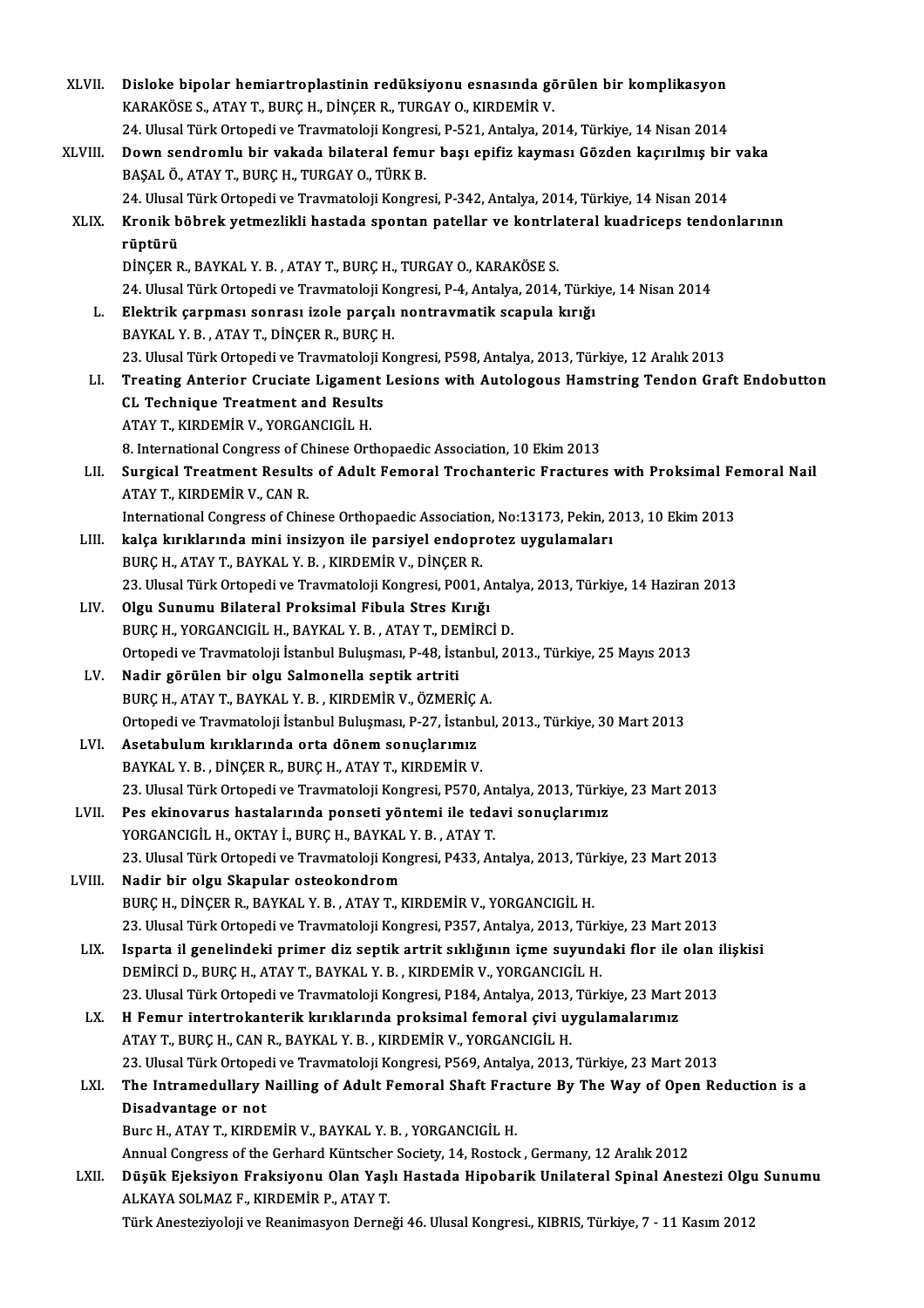| XLVII.  | Disloke bipolar hemiartroplastinin redüksiyonu esnasında görülen bir komplikasyon                                                                       |
|---------|---------------------------------------------------------------------------------------------------------------------------------------------------------|
|         | KARAKÖSE S., ATAY T., BURÇ H., DİNÇER R., TURGAY O., KIRDEMİR V.                                                                                        |
|         | 24. Ulusal Türk Ortopedi ve Travmatoloji Kongresi, P-521, Antalya, 2014, Türkiye, 14 Nisan 2014                                                         |
| XLVIII. | Down sendromlu bir vakada bilateral femur başı epifiz kayması Gözden kaçırılmış bir vaka                                                                |
|         | BAŞAL Ö., ATAY T., BURÇ H., TURGAY O., TÜRK B.                                                                                                          |
|         | 24. Ulusal Türk Ortopedi ve Travmatoloji Kongresi, P-342, Antalya, 2014, Türkiye, 14 Nisan 2014                                                         |
| XLIX.   | Kronik böbrek yetmezlikli hastada spontan patellar ve kontrlateral kuadriceps tendonlarının                                                             |
|         | rüptürü                                                                                                                                                 |
|         | DİNÇER R., BAYKAL Y. B., ATAY T., BURÇ H., TURGAY O., KARAKÖSE S.                                                                                       |
|         | 24. Ulusal Türk Ortopedi ve Travmatoloji Kongresi, P-4, Antalya, 2014, Türkiye, 14 Nisan 2014                                                           |
| L.      | Elektrik çarpması sonrası izole parçalı nontravmatik scapula kırığı                                                                                     |
|         |                                                                                                                                                         |
|         | BAYKAL Y. B., ATAY T., DİNÇER R., BURÇ H.                                                                                                               |
|         | 23. Ulusal Türk Ortopedi ve Travmatoloji Kongresi, P598, Antalya, 2013, Türkiye, 12 Aralık 2013                                                         |
| LI.     | Treating Anterior Cruciate Ligament Lesions with Autologous Hamstring Tendon Graft Endobutton                                                           |
|         | <b>CL Technique Treatment and Results</b>                                                                                                               |
|         | ATAY T., KIRDEMİR V., YORGANCIGİL H.                                                                                                                    |
|         | 8. International Congress of Chinese Orthopaedic Association, 10 Ekim 2013                                                                              |
| LII.    | Surgical Treatment Results of Adult Femoral Trochanteric Fractures with Proksimal Femoral Nail                                                          |
|         | ATAY T, KIRDEMİR V, CAN R.                                                                                                                              |
|         | International Congress of Chinese Orthopaedic Association, No:13173, Pekin, 2013, 10 Ekim 2013                                                          |
| LIII.   | kalça kırıklarında mini insizyon ile parsiyel endoprotez uygulamaları                                                                                   |
|         | BURÇ H., ATAY T., BAYKAL Y. B., KIRDEMİR V., DİNÇER R.                                                                                                  |
|         | 23. Ulusal Türk Ortopedi ve Travmatoloji Kongresi, P001, Antalya, 2013, Türkiye, 14 Haziran 2013                                                        |
| LIV.    | Olgu Sunumu Bilateral Proksimal Fibula Stres Kırığı                                                                                                     |
|         | BURÇ H., YORGANCIGİL H., BAYKAL Y. B., ATAY T., DEMİRCİ D.                                                                                              |
|         | Ortopedi ve Travmatoloji İstanbul Buluşması, P-48, İstanbul, 2013., Türkiye, 25 Mayıs 2013                                                              |
| LV.     | Nadir görülen bir olgu Salmonella septik artriti                                                                                                        |
|         | BURÇ H., ATAY T., BAYKAL Y. B., KIRDEMİR V., ÖZMERİÇ A.                                                                                                 |
|         | Ortopedi ve Travmatoloji İstanbul Buluşması, P-27, İstanbul, 2013., Türkiye, 30 Mart 2013                                                               |
| LVI.    | Asetabulum kırıklarında orta dönem sonuçlarımız                                                                                                         |
|         | BAYKAL Y. B., DİNÇER R., BURÇ H., ATAY T., KIRDEMİR V.<br>23. Ulusal Türk Ortopedi ve Travmatoloji Kongresi, P570, Antalya, 2013, Türkiye, 23 Mart 2013 |
|         | Pes ekinovarus hastalarında ponseti yöntemi ile tedavi sonuçlarımız                                                                                     |
| LVII.   | YORGANCIGIL H., OKTAY İ., BURÇ H., BAYKAL Y. B., ATAY T.                                                                                                |
|         | 23. Ulusal Türk Ortopedi ve Travmatoloji Kongresi, P433, Antalya, 2013, Türkiye, 23 Mart 2013                                                           |
| LVIII.  | Nadir bir olgu Skapular osteokondrom                                                                                                                    |
|         | BURÇ H., DİNÇER R., BAYKAL Y. B., ATAY T., KIRDEMİR V., YORGANCIGİL H.                                                                                  |
|         | 23. Ulusal Türk Ortopedi ve Travmatoloji Kongresi, P357, Antalya, 2013, Türkiye, 23 Mart 2013                                                           |
| LIX.    | Isparta il genelindeki primer diz septik artrit sıklığının içme suyundaki flor ile olan ilişkisi                                                        |
|         | DEMIRCI D., BURÇ H., ATAY T., BAYKAL Y. B., KIRDEMIR V., YORGANCIGIL H.                                                                                 |
|         | 23. Ulusal Türk Ortopedi ve Travmatoloji Kongresi, P184, Antalya, 2013, Türkiye, 23 Mart 2013                                                           |
| LX.     | H Femur intertrokanterik kırıklarında proksimal femoral çivi uygulamalarımız                                                                            |
|         | ATAY T., BURÇ H., CAN R., BAYKAL Y. B., KIRDEMİR V., YORGANCIGİL H.                                                                                     |
|         | 23. Ulusal Türk Ortopedi ve Travmatoloji Kongresi, P569, Antalya, 2013, Türkiye, 23 Mart 2013                                                           |
| LXI.    | The Intramedullary Nailling of Adult Femoral Shaft Fracture By The Way of Open Reduction is a                                                           |
|         | Disadvantage or not                                                                                                                                     |
|         | Burc H., ATAY T., KIRDEMİR V., BAYKAL Y. B., YORGANCIGİL H.                                                                                             |
|         | Annual Congress of the Gerhard Küntscher Society, 14, Rostock, Germany, 12 Aralık 2012                                                                  |
| LXII.   | Düşük Ejeksiyon Fraksiyonu Olan Yaşlı Hastada Hipobarik Unilateral Spinal Anestezi Olgu Sunumu                                                          |
|         | ALKAYA SOLMAZ F., KIRDEMİR P., ATAY T.                                                                                                                  |
|         | Türk Anesteziyoloji ve Reanimasyon Derneği 46. Ulusal Kongresi., KIBRIS, Türkiye, 7 - 11 Kasım 2012                                                     |
|         |                                                                                                                                                         |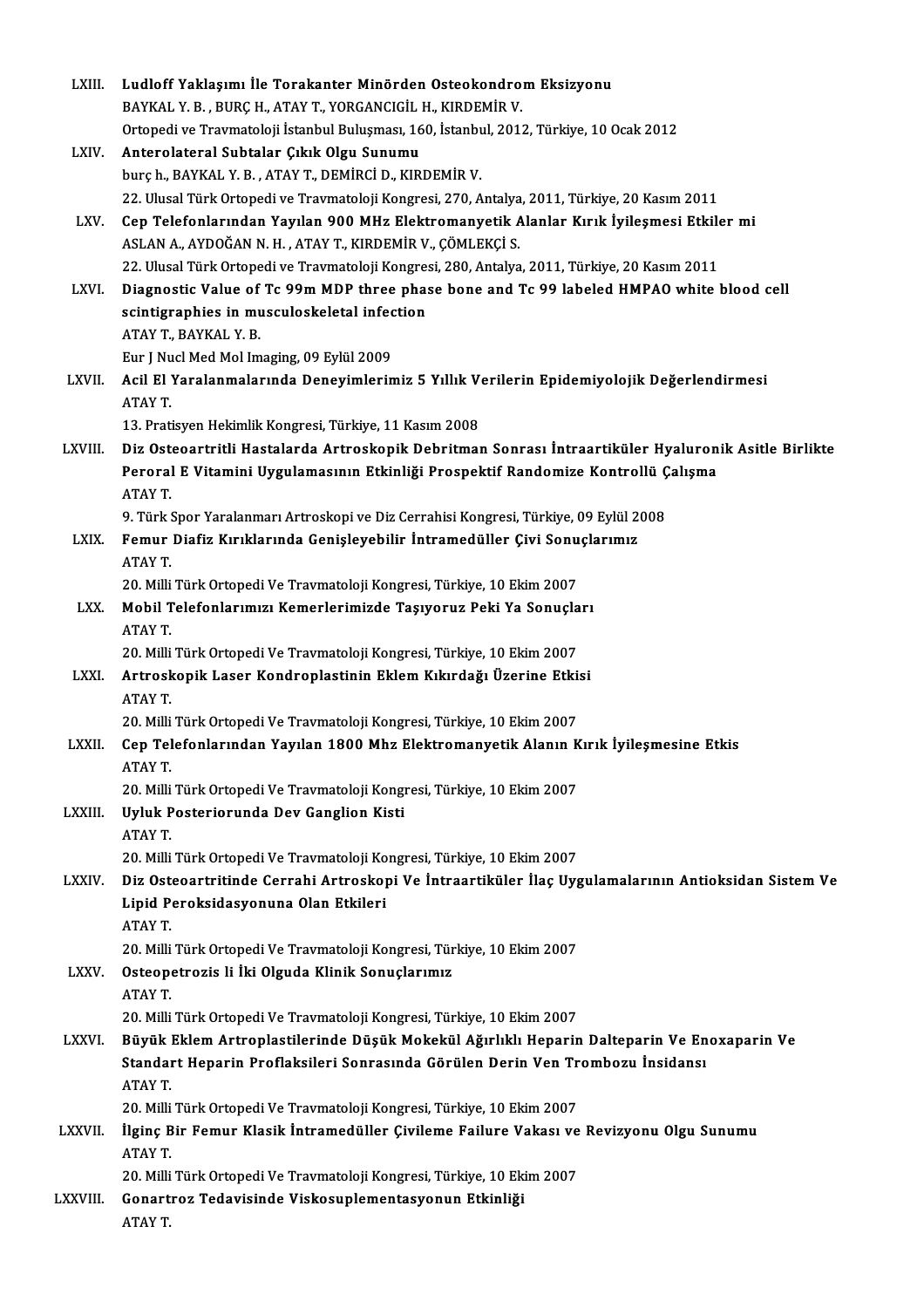| LXIII.        | Ludloff Yaklaşımı İle Torakanter Minörden Osteokondrom Eksizyonu                                     |
|---------------|------------------------------------------------------------------------------------------------------|
|               | BAYKAL Y. B., BURÇ H., ATAY T., YORGANCIGİL H., KIRDEMİR V.                                          |
|               | Ortopedi ve Travmatoloji İstanbul Buluşması, 160, İstanbul, 2012, Türkiye, 10 Ocak 2012              |
| LXIV.         | Anterolateral Subtalar Çıkık Olgu Sunumu                                                             |
|               | burç h., BAYKAL Y. B., ATAY T., DEMİRCİ D., KIRDEMİR V.                                              |
|               | 22. Ulusal Türk Ortopedi ve Travmatoloji Kongresi, 270, Antalya, 2011, Türkiye, 20 Kasım 2011        |
| LXV.          | Cep Telefonlarından Yayılan 900 MHz Elektromanyetik Alanlar Kırık İyileşmesi Etkiler mi              |
|               | ASLAN A., AYDOĞAN N. H., ATAY T., KIRDEMİR V., ÇÖMLEKÇİ S.                                           |
|               | 22. Ulusal Türk Ortopedi ve Travmatoloji Kongresi, 280, Antalya, 2011, Türkiye, 20 Kasım 2011        |
| LXVI.         | Diagnostic Value of Tc 99m MDP three phase bone and Tc 99 labeled HMPAO white blood cell             |
|               | scintigraphies in musculoskeletal infection                                                          |
|               | ATAY T, BAYKAL Y B                                                                                   |
|               | Eur J Nucl Med Mol Imaging, 09 Eylül 2009                                                            |
| LXVII.        | Acil El Yaralanmalarında Deneyimlerimiz 5 Yıllık Verilerin Epidemiyolojik Değerlendirmesi            |
|               | ATAY T.                                                                                              |
|               |                                                                                                      |
|               | 13. Pratisyen Hekimlik Kongresi, Türkiye, 11 Kasım 2008                                              |
| LXVIII.       | Diz Osteoartritli Hastalarda Artroskopik Debritman Sonrası İntraartiküler Hyaluronik Asitle Birlikte |
|               | Peroral E Vitamini Uygulamasının Etkinliği Prospektif Randomize Kontrollü Çalışma                    |
|               | ATAY T.                                                                                              |
|               | 9. Türk Spor Yaralanmarı Artroskopi ve Diz Cerrahisi Kongresi, Türkiye, 09 Eylül 2008                |
| LXIX.         | Femur Diafiz Kırıklarında Genişleyebilir İntramedüller Çivi Sonuçlarımız                             |
|               | ATAY T.                                                                                              |
|               | 20. Milli Türk Ortopedi Ve Travmatoloji Kongresi, Türkiye, 10 Ekim 2007                              |
| LXX.          | Mobil Telefonlarımızı Kemerlerimizde Taşıyoruz Peki Ya Sonuçları                                     |
|               | ATAY T.                                                                                              |
|               | 20. Milli Türk Ortopedi Ve Travmatoloji Kongresi, Türkiye, 10 Ekim 2007                              |
| LXXI.         | Artroskopik Laser Kondroplastinin Eklem Kıkırdağı Üzerine Etkisi                                     |
|               | ATAY T                                                                                               |
|               | 20. Milli Türk Ortopedi Ve Travmatoloji Kongresi, Türkiye, 10 Ekim 2007                              |
| LXXII.        | Cep Telefonlarından Yayılan 1800 Mhz Elektromanyetik Alanın Kırık İyileşmesine Etkis                 |
|               | ATAY T.                                                                                              |
|               | 20. Milli Türk Ortopedi Ve Travmatoloji Kongresi, Türkiye, 10 Ekim 2007                              |
| <b>LXXIII</b> | Uyluk Posteriorunda Dev Ganglion Kisti                                                               |
|               | ATAY T.                                                                                              |
|               | 20. Milli Türk Ortopedi Ve Travmatoloji Kongresi, Türkiye, 10 Ekim 2007                              |
| <b>LXXIV</b>  | Diz Osteoartritinde Cerrahi Artroskopi Ve İntraartiküler İlaç Uygulamalarının Antioksidan Sistem Ve  |
|               | Lipid Peroksidasyonuna Olan Etkileri                                                                 |
|               | ATAY T                                                                                               |
|               | 20. Milli Türk Ortopedi Ve Travmatoloji Kongresi, Türkiye, 10 Ekim 2007                              |
| <b>LXXV</b>   | Osteopetrozis li İki Olguda Klinik Sonuçlarımız                                                      |
|               | <b>ATAY T</b>                                                                                        |
|               | 20. Milli Türk Ortopedi Ve Travmatoloji Kongresi, Türkiye, 10 Ekim 2007                              |
| <b>LXXVI</b>  | Büyük Eklem Artroplastilerinde Düşük Mokekül Ağırlıklı Heparin Dalteparin Ve Enoxaparin Ve           |
|               | Standart Heparin Proflaksileri Sonrasında Görülen Derin Ven Trombozu İnsidansı                       |
|               | <b>ATAY T</b>                                                                                        |
|               | 20. Milli Türk Ortopedi Ve Travmatoloji Kongresi, Türkiye, 10 Ekim 2007                              |
| <b>LXXVII</b> | İlginç Bir Femur Klasik İntramedüller Çivileme Failure Vakası ve Revizyonu Olgu Sunumu               |
|               | ATAY T                                                                                               |
|               | 20. Milli Türk Ortopedi Ve Travmatoloji Kongresi, Türkiye, 10 Ekim 2007                              |
| LXXVIII.      | Gonartroz Tedavisinde Viskosuplementasyonun Etkinliği                                                |
|               | ATAY T.                                                                                              |
|               |                                                                                                      |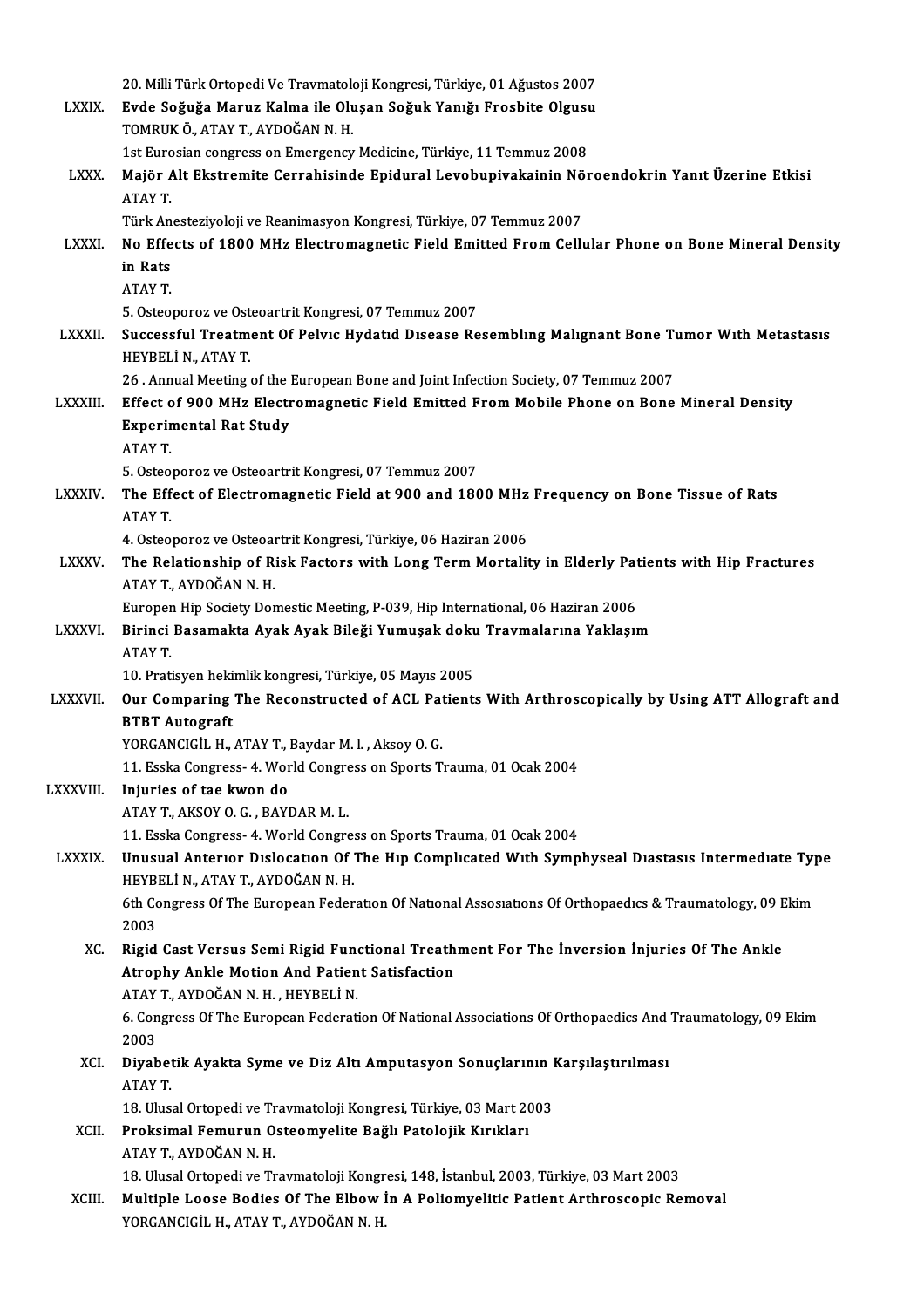|                | 20. Milli Türk Ortopedi Ve Travmatoloji Kongresi, Türkiye, 01 Ağustos 2007                                                |
|----------------|---------------------------------------------------------------------------------------------------------------------------|
| <b>LXXIX</b>   | Evde Soğuğa Maruz Kalma ile Oluşan Soğuk Yanığı Frosbite Olgusu                                                           |
|                | TOMRUK Ö., ATAY T., AYDOĞAN N.H.                                                                                          |
|                | 1st Eurosian congress on Emergency Medicine, Türkiye, 11 Temmuz 2008                                                      |
| <b>LXXX</b>    | Majör Alt Ekstremite Cerrahisinde Epidural Levobupivakainin Nöroendokrin Yanıt Üzerine Etkisi                             |
|                | ATAY T.                                                                                                                   |
|                | Türk Anesteziyoloji ve Reanimasyon Kongresi, Türkiye, 07 Temmuz 2007                                                      |
| <b>LXXXI</b>   | No Effects of 1800 MHz Electromagnetic Field Emitted From Cellular Phone on Bone Mineral Density                          |
|                | in Rats                                                                                                                   |
|                | ATAY T                                                                                                                    |
|                | 5. Osteoporoz ve Osteoartrit Kongresi, 07 Temmuz 2007                                                                     |
| <b>LXXXII</b>  | Successful Treatment Of Pelvic Hydatid Disease Resembling Malignant Bone Tumor With Metastasis<br>HEYBELİ N., ATAY T      |
|                | 26 . Annual Meeting of the European Bone and Joint Infection Society, 07 Temmuz 2007                                      |
| <b>LXXXIII</b> | Effect of 900 MHz Electromagnetic Field Emitted From Mobile Phone on Bone Mineral Density                                 |
|                | <b>Experimental Rat Study</b>                                                                                             |
|                | ATAY T.                                                                                                                   |
|                | 5. Osteoporoz ve Osteoartrit Kongresi, 07 Temmuz 2007                                                                     |
| <b>LXXXIV.</b> | The Effect of Electromagnetic Field at 900 and 1800 MHz Frequency on Bone Tissue of Rats                                  |
|                | ATAY T.                                                                                                                   |
|                | 4. Osteoporoz ve Osteoartrit Kongresi, Türkiye, 06 Haziran 2006                                                           |
| <b>LXXXV</b>   | The Relationship of Risk Factors with Long Term Mortality in Elderly Patients with Hip Fractures<br>ATAY T., AYDOĞAN N.H. |
|                | Europen Hip Society Domestic Meeting, P-039, Hip International, 06 Haziran 2006                                           |
| <b>LXXXVI</b>  | Birinci Basamakta Ayak Ayak Bileği Yumuşak doku Travmalarına Yaklaşım                                                     |
|                | ATAY T.                                                                                                                   |
|                | 10. Pratisyen hekimlik kongresi, Türkiye, 05 Mayıs 2005                                                                   |
| LXXXVII.       | Our Comparing The Reconstructed of ACL Patients With Arthroscopically by Using ATT Allograft and                          |
|                | <b>BTBT Autograft</b>                                                                                                     |
|                | YORGANCIGIL H., ATAY T., Baydar M. l., Aksoy O. G.                                                                        |
|                | 11. Esska Congress- 4. World Congress on Sports Trauma, 01 Ocak 2004                                                      |
| LXXXVIII       | Injuries of tae kwon do                                                                                                   |
|                | ATAY T., AKSOY O. G., BAYDAR M. L.<br>11. Esska Congress- 4. World Congress on Sports Trauma, 01 Ocak 2004                |
| <b>LXXXIX</b>  | Unusual Anterior Dislocation Of The Hip Complicated With Symphyseal Diastasis Intermediate Type                           |
|                | HEYBELİ N., ATAY T., AYDOĞAN N.H.                                                                                         |
|                | 6th Congress Of The European Federation Of National Assosiations Of Orthopaedics & Traumatology, 09 Ekim                  |
|                | 2003                                                                                                                      |
| XC.            | Rigid Cast Versus Semi Rigid Functional Treathment For The Inversion Injuries Of The Ankle                                |
|                | Atrophy Ankle Motion And Patient Satisfaction                                                                             |
|                | ATAY T., AYDOĞAN N.H., HEYBELİ N.                                                                                         |
|                | 6. Congress Of The European Federation Of National Associations Of Orthopaedics And Traumatology, 09 Ekim                 |
| XCI.           | 2003<br>Diyabetik Ayakta Syme ve Diz Altı Amputasyon Sonuçlarının Karşılaştırılması                                       |
|                | ATAY T                                                                                                                    |
|                | 18. Ulusal Ortopedi ve Travmatoloji Kongresi, Türkiye, 03 Mart 2003                                                       |
| XCII.          | Proksimal Femurun Osteomyelite Bağlı Patolojik Kırıkları                                                                  |
|                | ATAY T., AYDOĞAN N.H.                                                                                                     |
|                | 18. Ulusal Ortopedi ve Travmatoloji Kongresi, 148, İstanbul, 2003, Türkiye, 03 Mart 2003                                  |
| XCIII.         | Multiple Loose Bodies Of The Elbow In A Poliomyelitic Patient Arthroscopic Removal                                        |
|                | YORGANCIGİL H., ATAY T., AYDOĞAN N.H.                                                                                     |
|                |                                                                                                                           |